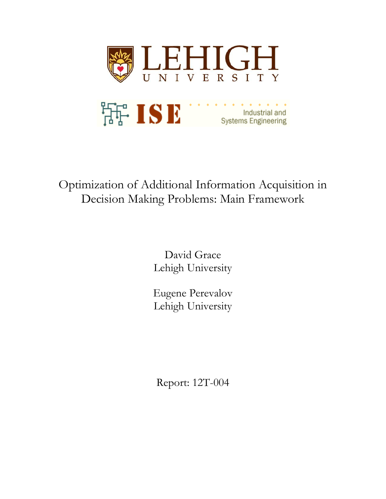

# Optimization of Additional Information Acquisition in Decision Making Problems: Main Framework

David Grace Lehigh University

Eugene Perevalov Lehigh University

Report: 12T-004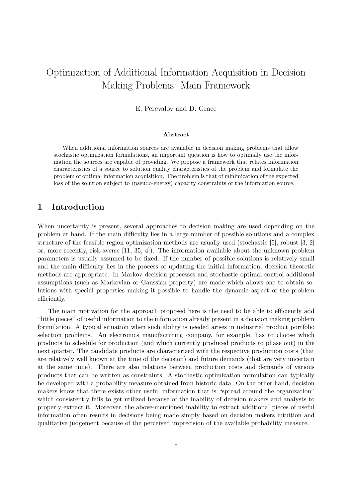# Optimization of Additional Information Acquisition in Decision Making Problems: Main Framework

E. Perevalov and D. Grace

### Abstract

When additional information sources are available in decision making problems that allow stochastic optimization formulations, an important question is how to optimally use the information the sources are capable of providing. We propose a framework that relates information characteristics of a source to solution quality characteristics of the problem and formulate the problem of optimal information acquisition. The problem is that of minimization of the expected loss of the solution subject to (pseudo-energy) capacity constraints of the information source.

## 1 Introduction

When uncertainty is present, several approaches to decision making are used depending on the problem at hand. If the main difficulty lies in a large number of possible solutions and a complex structure of the feasible region optimization methods are usually used (stochastic [5], robust [3, 2] or, more recently, risk-averse [11, 35, 4]). The information available about the unknown problem parameters is usually assumed to be fixed. If the number of possible solutions is relatively small and the main difficulty lies in the process of updating the initial information, decision theoretic methods are appropriate. In Markov decision processes and stochastic optimal control additional assumptions (such as Markovian or Gaussian property) are made which allows one to obtain solutions with special properties making it possible to handle the dynamic aspect of the problem efficiently.

The main motivation for the approach proposed here is the need to be able to efficiently add "little pieces" of useful information to the information already present in a decision making problem formulation. A typical situation when such ability is needed arises in industrial product portfolio selection problems. An electronics manufacturing company, for example, has to choose which products to schedule for production (and which currently produced products to phase out) in the next quarter. The candidate products are characterized with the respective production costs (that are relatively well known at the time of the decision) and future demands (that are very uncertain at the same time). There are also relations between production costs and demands of various products that can be written as constraints. A stochastic optimization formulation can typically be developed with a probability measure obtained from historic data. On the other hand, decision makers know that there exists other useful information that is "spread around the organization" which consistently fails to get utilized because of the inability of decision makers and analysts to properly extract it. Moreover, the above-mentioned inability to extract additional pieces of useful information often results in decisions being made simply based on decision makers intuition and qualitative judgement because of the perceived imprecision of the available probability measure.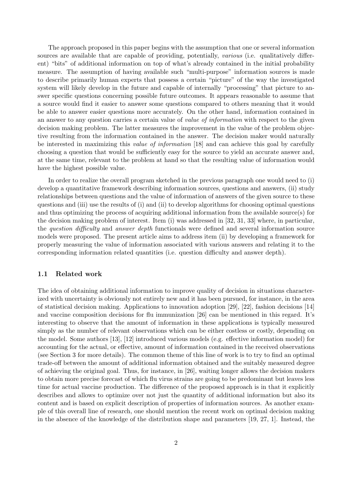The approach proposed in this paper begins with the assumption that one or several information sources are available that are capable of providing, potentially, *various* (i.e. qualitatively different) "bits" of additional information on top of what's already contained in the initial probability measure. The assumption of having available such "multi-purpose" information sources is made to describe primarily human experts that possess a certain "picture" of the way the investigated system will likely develop in the future and capable of internally "processing" that picture to answer specific questions concerning possible future outcomes. It appears reasonable to assume that a source would find it easier to answer some questions compared to others meaning that it would be able to answer easier questions more accurately. On the other hand, information contained in an answer to any question carries a certain value of *value of information* with respect to the given decision making problem. The latter measures the improvement in the value of the problem objective resulting from the information contained in the answer. The decision maker would naturally be interested in maximizing this value of information [18] and can achieve this goal by carefully choosing a question that would be sufficiently easy for the source to yield an accurate answer and, at the same time, relevant to the problem at hand so that the resulting value of information would have the highest possible value.

In order to realize the overall program sketched in the previous paragraph one would need to (i) develop a quantitative framework describing information sources, questions and answers, (ii) study relationships between questions and the value of information of answers of the given source to these questions and (iii) use the results of (i) and (ii) to develop algorithms for choosing optimal questions and thus optimizing the process of acquiring additional information from the available source(s) for the decision making problem of interest. Item (i) was addressed in [32, 31, 33] where, in particular, the *question difficulty* and *answer depth* functionals were defined and several information source models were proposed. The present article aims to address item (ii) by developing a framework for properly measuring the value of information associated with various answers and relating it to the corresponding information related quantities (i.e. question difficulty and answer depth).

#### 1.1 Related work

The idea of obtaining additional information to improve quality of decision in situations characterized with uncertainty is obviously not entirely new and it has been pursued, for instance, in the area of statistical decision making. Applications to innovation adoption [29], [22], fashion decisions [14] and vaccine composition decisions for flu immunization [26] can be mentioned in this regard. It's interesting to observe that the amount of information in these applications is typically measured simply as the number of relevant observations which can be either costless or costly, depending on the model. Some authors [13], [12] introduced various models (e.g. effective information model) for accounting for the actual, or effective, amount of information contained in the received observations (see Section 3 for more details). The common theme of this line of work is to try to find an optimal trade-off between the amount of additional information obtained and the suitably measured degree of achieving the original goal. Thus, for instance, in [26], waiting longer allows the decision makers to obtain more precise forecast of which flu virus strains are going to be predominant but leaves less time for actual vaccine production. The difference of the proposed approach is in that it explicitly describes and allows to optimize over not just the quantity of additional information but also its content and is based on explicit description of properties of information sources. As another example of this overall line of research, one should mention the recent work on optimal decision making in the absence of the knowledge of the distribution shape and parameters [19, 27, 1]. Instead, the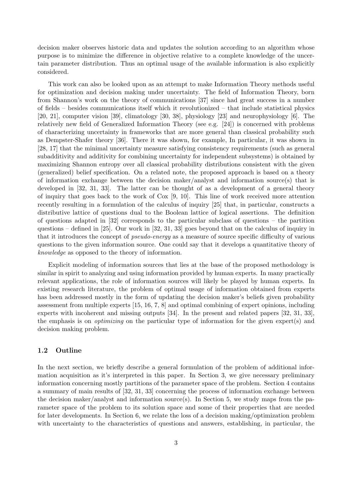decision maker observes historic data and updates the solution according to an algorithm whose purpose is to minimize the difference in objective relative to a complete knowledge of the uncertain parameter distribution. Thus an optimal usage of the available information is also explicitly considered.

This work can also be looked upon as an attempt to make Information Theory methods useful for optimization and decision making under uncertainty. The field of Information Theory, born from Shannon's work on the theory of communications [37] since had great success in a number of fields – besides communications itself which it revolutionized – that include statistical physics [20, 21], computer vision [39], climatology [30, 38], physiology [23] and neurophysiology [6]. The relatively new field of Generalized Information Theory (see e.g. [24]) is concerned with problems of characterizing uncertainty in frameworks that are more general than classical probability such as Dempster-Shafer theory [36]. There it was shown, for example, In particular, it was shown in [28, 17] that the minimal uncertainty measure satisfying consistency requirements (such as general subadditivity and additivity for combining uncertainty for independent subsystems) is obtained by maximizing Shannon entropy over all classical probability distributions consistent with the given (generalized) belief specification. On a related note, the proposed approach is based on a theory of information exchange between the decision maker/analyst and information source(s) that is developed in [32, 31, 33]. The latter can be thought of as a development of a general theory of inquiry that goes back to the work of Cox [9, 10]. This line of work received more attention recently resulting in a formulation of the calculus of inquiry [25] that, in particular, constructs a distributive lattice of questions dual to the Boolean lattice of logical assertions. The definition of questions adapted in [32] corresponds to the particular subclass of questions – the partition questions – defined in [25]. Our work in [32, 31, 33] goes beyond that on the calculus of inquiry in that it introduces the concept of pseudo-energy as a measure of source specific difficulty of various questions to the given information source. One could say that it develops a quantitative theory of knowledge as opposed to the theory of information.

Explicit modeling of information sources that lies at the base of the proposed methodology is similar in spirit to analyzing and using information provided by human experts. In many practically relevant applications, the role of information sources will likely be played by human experts. In existing research literature, the problem of optimal usage of information obtained from experts has been addressed mostly in the form of updating the decision maker's beliefs given probability assessment from multiple experts [15, 16, 7, 8] and optimal combining of expert opinions, including experts with incoherent and missing outputs [34]. In the present and related papers [32, 31, 33], the emphasis is on optimizing on the particular type of information for the given expert(s) and decision making problem.

### 1.2 Outline

In the next section, we briefly describe a general formulation of the problem of additional information acquisition as it's interpreted in this paper. In Section 3, we give necessary preliminary information concerning mostly partitions of the parameter space of the problem. Section 4 contains a summary of main results of [32, 31, 33] concerning the process of information exchange between the decision maker/analyst and information source(s). In Section 5, we study maps from the parameter space of the problem to its solution space and some of their properties that are needed for later developments. In Section 6, we relate the loss of a decision making/optimization problem with uncertainty to the characteristics of questions and answers, establishing, in particular, the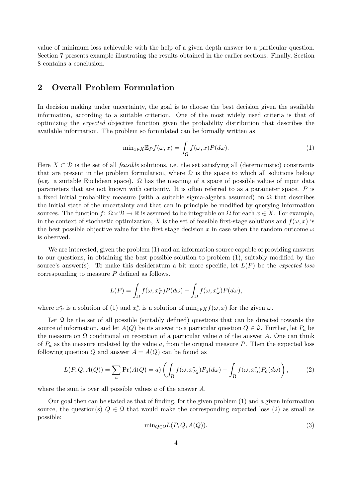value of minimum loss achievable with the help of a given depth answer to a particular question. Section 7 presents example illustrating the results obtained in the earlier sections. Finally, Section 8 contains a conclusion.

# 2 Overall Problem Formulation

In decision making under uncertainty, the goal is to choose the best decision given the available information, according to a suitable criterion. One of the most widely used criteria is that of optimizing the expected objective function given the probability distribution that describes the available information. The problem so formulated can be formally written as

$$
\min_{x \in X} \mathbb{E}_P f(\omega, x) = \int_{\Omega} f(\omega, x) P(d\omega).
$$
\n(1)

Here  $X \subset \mathcal{D}$  is the set of all *feasible* solutions, i.e. the set satisfying all (deterministic) constraints that are present in the problem formulation, where  $\mathcal D$  is the space to which all solutions belong (e.g. a suitable Euclidean space).  $\Omega$  has the meaning of a space of possible values of input data parameters that are not known with certainty. It is often referred to as a parameter space. P is a fixed initial probability measure (with a suitable sigma-algebra assumed) on  $\Omega$  that describes the initial state of the uncertainty and that can in principle be modified by querying information sources. The function  $f: \Omega \times \mathcal{D} \to \overline{\mathbb{R}}$  is assumed to be integrable on  $\Omega$  for each  $x \in X$ . For example, in the context of stochastic optimization, X is the set of feasible first-stage solutions and  $f(\omega, x)$  is the best possible objective value for the first stage decision x in case when the random outcome  $\omega$ is observed.

We are interested, given the problem (1) and an information source capable of providing answers to our questions, in obtaining the best possible solution to problem (1), suitably modified by the source's answer(s). To make this desideratum a bit more specific, let  $L(P)$  be the *expected loss* corresponding to measure P defined as follows.

$$
L(P) = \int_{\Omega} f(\omega, x_P^*) P(d\omega) - \int_{\Omega} f(\omega, x_{\omega}^*) P(d\omega),
$$

where  $x_P^*$  is a solution of (1) and  $x_\omega^*$  is a solution of  $\min_{x \in X} f(\omega, x)$  for the given  $\omega$ .

Let  $\Omega$  be the set of all possible (suitably defined) questions that can be directed towards the source of information, and let  $A(Q)$  be its answer to a particular question  $Q \in \mathcal{Q}$ . Further, let  $P_a$  be the measure on  $\Omega$  conditional on reception of a particular value a of the answer A. One can think of  $P_a$  as the measure updated by the value a, from the original measure P. Then the expected loss following question Q and answer  $A = A(Q)$  can be found as

$$
L(P,Q,A(Q)) = \sum_{a} \Pr(A(Q) = a) \left( \int_{\Omega} f(\omega, x_{P_a}^*) P_a(d\omega) - \int_{\Omega} f(\omega, x_{\omega}^*) P_a(d\omega) \right), \tag{2}
$$

where the sum is over all possible values a of the answer A.

Our goal then can be stated as that of finding, for the given problem (1) and a given information source, the question(s)  $Q \in \mathcal{Q}$  that would make the corresponding expected loss (2) as small as possible:

$$
\min_{Q \in \mathcal{Q}} L(P, Q, A(Q)).\tag{3}
$$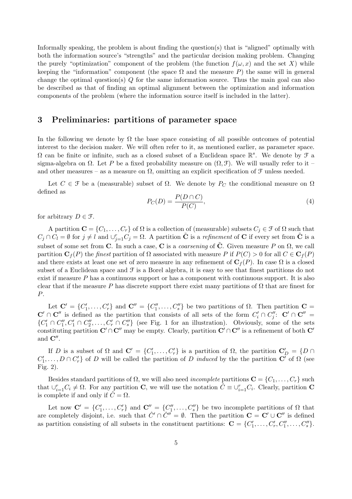Informally speaking, the problem is about finding the question(s) that is "aligned" optimally with both the information source's "strengths" and the particular decision making problem. Changing the purely "optimization" component of the problem (the function  $f(\omega, x)$  and the set X) while keeping the "information" component (the space  $\Omega$  and the measure P) the same will in general change the optimal question(s)  $Q$  for the same information source. Thus the main goal can also be described as that of finding an optimal alignment between the optimization and information components of the problem (where the information source itself is included in the latter).

### 3 Preliminaries: partitions of parameter space

In the following we denote by  $\Omega$  the base space consisting of all possible outcomes of potential interest to the decision maker. We will often refer to it, as mentioned earlier, as parameter space.  $\Omega$  can be finite or infinite, such as a closed subset of a Euclidean space R<sup>s</sup>. We denote by *f* a sigma-algebra on  $\Omega$ . Let P be a fixed probability measure on  $(\Omega, \mathcal{F})$ . We will usually refer to it – and other measures – as a measure on  $\Omega$ , omitting an explicit specification of  $\mathcal F$  unless needed.

Let  $C \in \mathcal{F}$  be a (measurable) subset of  $\Omega$ . We denote by  $P_C$  the conditional measure on  $\Omega$ defined as

$$
P_C(D) = \frac{P(D \cap C)}{P(C)},\tag{4}
$$

for arbitrary  $D \in \mathcal{F}$ .

A partition  $\mathbf{C} = \{C_1, \ldots, C_r\}$  of  $\Omega$  is a collection of (measurable) subsets  $C_j \in \mathcal{F}$  of  $\Omega$  such that  $C_j \cap C_l = \emptyset$  for  $j \neq l$  and  $\cup_{j=1}^r C_j = \Omega$ . A partition  $\tilde{C}$  is a *refinement* of C if every set from  $\tilde{C}$  is a subset of some set from C. In such a case, C is a *coarsening* of  $\tilde{C}$ . Given measure P on  $\Omega$ , we call partition  $\mathbf{C}_f(P)$  the finest partition of  $\Omega$  associated with measure P if  $P(C) > 0$  for all  $C \in \mathbf{C}_f(P)$ and there exists at least one set of zero measure in any refinement of  $C_f(P)$ . In case  $\Omega$  is a closed subset of a Euclidean space and  $\mathcal F$  is a Borel algebra, it is easy to see that finest partitions do not exist if measure  $P$  has a continuous support or has a component with continuous support. It is also clear that if the measure P has discrete support there exist many partitions of  $\Omega$  that are finest for P.

Let  $\mathbf{C}' = \{C'_1, \ldots, C'_r\}$  and  $\mathbf{C}'' = \{C''_1, \ldots, C''_s\}$  be two partitions of  $\Omega$ . Then partition  $\mathbf{C} =$  $\mathbf{C}' \cap \mathbf{C}''$  is defined as the partition that consists of all sets of the form  $C_i' \cap C_j''$ :  $\mathbf{C}' \cap \mathbf{C}'' =$  $\{C'_1 \cap C''_1, C'_1 \cap C''_2, \ldots, C'_r \cap C''_s\}$  (see Fig. 1 for an illustration). Obviously, some of the sets constituting partition  $\mathbf{C}' \cap \mathbf{C}''$  may be empty. Clearly, partition  $\mathbf{C}' \cap \mathbf{C}''$  is a refinement of both  $\mathbf{C}'$ and  $\mathbf{C}''$ .

If D is a subset of  $\Omega$  and  $\mathbf{C}' = \{C'_1, \ldots, C'_r\}$  is a partition of  $\Omega$ , the partition  $\mathbf{C}'_D = \{D \cap$  $C'_1, \ldots, D \cap C'_r$  of D will be called the partition of D induced by the the partition  $\mathbf{C}^r$  of  $\Omega$  (see Fig. 2).

Besides standard partitions of  $\Omega$ , we will also need *incomplete* partitions  $\mathbf{C} = \{C_1, \ldots, C_r\}$  such that  $\cup_{i=1}^r C_i \neq \Omega$ . For any partition **C**, we will use the notation  $\tilde{C} \equiv \cup_{i=1}^r C_i$ . Clearly, partition **C** is complete if and only if  $\hat{C} = \Omega$ .

Let now  $\mathbf{C}' = \{C'_1, \ldots, C'_r\}$  and  $\mathbf{C}'' = \{C''_1, \ldots, C''_s\}$  be two incomplete partitions of  $\Omega$  that are completely disjoint, i.e. such that  $\hat{C}' \cap \hat{C}'' = \emptyset$ . Then the partition  $\mathbf{C} = \mathbf{C}' \cup \mathbf{C}''$  is defined as partition consisting of all subsets in the constituent partitions:  $\mathbf{C} = \{C'_1, \ldots, C'_r, C''_1, \ldots, C''_s\}.$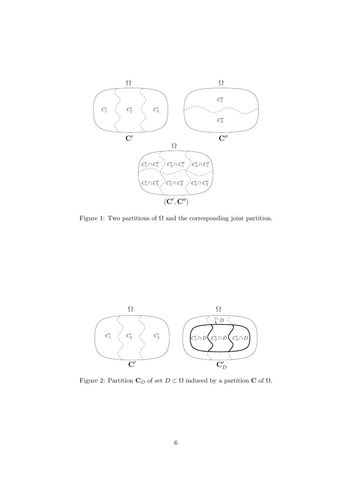

Figure 1: Two partitions of  $\Omega$  and the corresponding joint partition.



Figure 2: Partition  $\mathbf{C}_D$  of set  $D \subset \Omega$  induced by a partition  $\mathbf{C}$  of  $\Omega$ .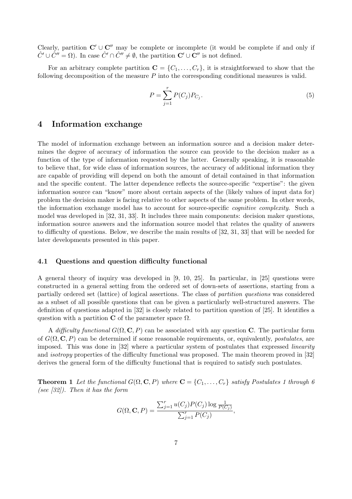Clearly, partition  $C' \cup C''$  may be complete or incomplete (it would be complete if and only if  $\hat{C}' \cup \hat{C}'' = \Omega$ ). In case  $\hat{C}' \cap \hat{C}'' \neq \emptyset$ , the partition  $\mathbf{C}' \cup \mathbf{C}''$  is not defined.

For an arbitrary complete partition  $\mathbf{C} = \{C_1, \ldots, C_r\}$ , it is straightforward to show that the following decomposition of the measure  $P$  into the corresponding conditional measures is valid.

$$
P = \sum_{j=1}^{r} P(C_j) P_{C_j}.
$$
\n(5)

### 4 Information exchange

The model of information exchange between an information source and a decision maker determines the degree of accuracy of information the source can provide to the decision maker as a function of the type of information requested by the latter. Generally speaking, it is reasonable to believe that, for wide class of information sources, the accuracy of additional information they are capable of providing will depend on both the amount of detail contained in that information and the specific content. The latter dependence reflects the source-specific "expertise": the given information source can "know" more about certain aspects of the (likely values of input data for) problem the decision maker is facing relative to other aspects of the same problem. In other words, the information exchange model has to account for source-specific *cognitive complexity*. Such a model was developed in [32, 31, 33]. It includes three main components: decision maker questions, information source answers and the information source model that relates the quality of answers to difficulty of questions. Below, we describe the main results of [32, 31, 33] that will be needed for later developments presented in this paper.

### 4.1 Questions and question difficulty functional

A general theory of inquiry was developed in [9, 10, 25]. In particular, in [25] questions were constructed in a general setting from the ordered set of down-sets of assertions, starting from a partially ordered set (lattice) of logical assertions. The class of partition questions was considered as a subset of all possible questions that can be given a particularly well-structured answers. The definition of questions adapted in [32] is closely related to partition question of [25]. It identifies a question with a partition C of the parameter space  $\Omega$ .

A difficulty functional  $G(\Omega, \mathbf{C}, P)$  can be associated with any question C. The particular form of  $G(\Omega, \mathbf{C}, P)$  can be determined if some reasonable requirements, or, equivalently, *postulates*, are imposed. This was done in [32] where a particular system of postulates that expressed linearity and isotropy properties of the difficulty functional was proposed. The main theorem proved in [32] derives the general form of the difficulty functional that is required to satisfy such postulates.

**Theorem 1** Let the functional  $G(\Omega, \mathbf{C}, P)$  where  $\mathbf{C} = \{C_1, \ldots, C_r\}$  satisfy Postulates 1 through 6 (see  $[32]$ ). Then it has the form

$$
G(\Omega, \mathbf{C}, P) = \frac{\sum_{j=1}^{r} u(C_j) P(C_j) \log \frac{1}{P(C_j)}}{\sum_{j=1}^{r} P(C_j)},
$$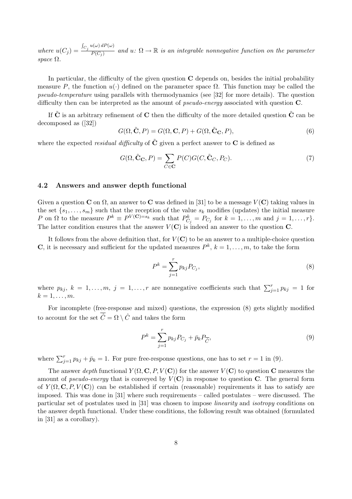where  $u(C_j) =$ R  $C_j u(\omega) dP(\omega)$  $\overline{P(C_j)}$  and  $u: \Omega \to \mathbb{R}$  is an integrable nonnegative function on the parameter space Ω.

In particular, the difficulty of the given question  $C$  depends on, besides the initial probability measure P, the function  $u(\cdot)$  defined on the parameter space  $\Omega$ . This function may be called the pseudo-temperature using parallels with thermodynamics (see [32] for more details). The question difficulty then can be interpreted as the amount of *pseudo-energy* associated with question **C**.

If  $\tilde{\mathbf{C}}$  is an arbitrary refinement of  $\mathbf{C}$  then the difficulty of the more detailed question  $\tilde{\mathbf{C}}$  can be decomposed as ([32])

$$
G(\Omega, \tilde{\mathbf{C}}, P) = G(\Omega, \mathbf{C}, P) + G(\Omega, \tilde{\mathbf{C}}_{\mathbf{C}}, P),
$$
\n(6)

where the expected *residual difficulty* of  $\tilde{C}$  given a perfect answer to  $C$  is defined as

$$
G(\Omega, \tilde{\mathbf{C}}_{\mathbf{C}}, P) = \sum_{C \in \mathbf{C}} P(C) G(C, \tilde{\mathbf{C}}_{C}, P_C).
$$
 (7)

### 4.2 Answers and answer depth functional

Given a question C on  $\Omega$ , an answer to C was defined in [31] to be a message  $V(\mathbf{C})$  taking values in the set  $\{s_1, \ldots, s_m\}$  such that the reception of the value  $s_k$  modifies (updates) the initial measure P on  $\Omega$  to the measure  $P^k \equiv P^{V(\mathbf{C})=s_k}$  such that  $P^k_{C_j} = P_{C_j}$  for  $k = 1, \ldots, m$  and  $j = 1, \ldots, r$ . The latter condition ensures that the answer  $V(\mathbf{C})$  is indeed an answer to the question  $\mathbf{C}$ .

It follows from the above definition that, for  $V(\mathbf{C})$  to be an answer to a multiple-choice question **C**, it is necessary and sufficient for the updated measures  $P^k$ ,  $k = 1, \ldots, m$ , to take the form

$$
P^k = \sum_{j=1}^r p_{kj} P_{C_j},\tag{8}
$$

where  $p_{kj}$ ,  $k = 1, ..., m$ ,  $j = 1, ..., r$  are nonnegative coefficients such that  $\sum_{j=1}^{r} p_{kj} = 1$  for  $k=1,\ldots,m$ .

For incomplete (free-response and mixed) questions, the expression (8) gets slightly modified to account for the set  $\overline{\hat{C}} = \Omega \setminus \hat{C}$  and takes the form

$$
P^k = \sum_{j=1}^r p_{kj} P_{C_j} + \bar{p}_k P_{\overline{\hat{C}}},\tag{9}
$$

where  $\sum_{j=1}^{r} p_{kj} + \bar{p}_k = 1$ . For pure free-response questions, one has to set  $r = 1$  in (9).

The answer depth functional  $Y(\Omega, \mathbf{C}, P, V(\mathbf{C}))$  for the answer  $V(\mathbf{C})$  to question C measures the amount of pseudo-energy that is conveyed by  $V(\mathbf{C})$  in response to question C. The general form of  $Y(\Omega, \mathbf{C}, P, V(\mathbf{C}))$  can be established if certain (reasonable) requirements it has to satisfy are imposed. This was done in [31] where such requirements – called postulates – were discussed. The particular set of postulates used in [31] was chosen to impose linearity and isotropy conditions on the answer depth functional. Under these conditions, the following result was obtained (formulated in [31] as a corollary).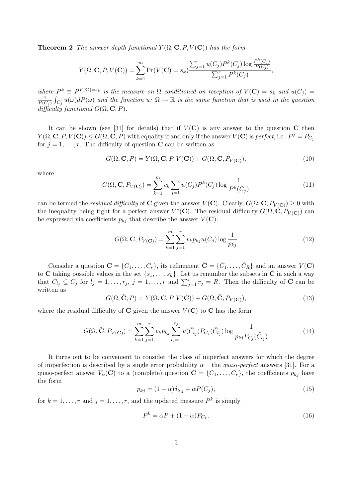**Theorem 2** The answer depth functional  $Y(\Omega, \mathbf{C}, P, V(\mathbf{C}))$  has the form

$$
Y(\Omega, \mathbf{C}, P, V(\mathbf{C})) = \sum_{k=1}^{m} \Pr(V(\mathbf{C}) = s_k) \frac{\sum_{j=1}^{r} u(C_j) P^k(C_j) \log \frac{P^k(C_j)}{P(C_j)}}{\sum_{j=1}^{r} P^k(C_j)},
$$

where  $P^k \equiv P^{V(\mathbf{C})=s_k}$  is the measure on  $\Omega$  conditioned on reception of  $V(\mathbf{C})=s_k$  and  $u(C_j)=v_j$ 1  $\frac{1}{P(C_j)}\int_{C_j}u(\omega)dP(\omega)$  and the function  $u\colon\Omega\to\mathbb{R}$  is the same function that is used in the question difficulty functional  $G(\Omega, \mathbf{C}, P)$ .

It can be shown (see [31] for details) that if  $V(\mathbf{C})$  is any answer to the question C then  $Y(\Omega, \mathbf{C}, P, V(\mathbf{C})) \leq G(\Omega, \mathbf{C}, P)$  with equality if and only if the answer  $V(\mathbf{C})$  is perfect, i.e.  $P^j = P_{C_j}$ for  $j = 1, \ldots, r$ . The difficulty of question **C** can be written as

$$
G(\Omega, \mathbf{C}, P) = Y(\Omega, \mathbf{C}, P, V(\mathbf{C})) + G(\Omega, \mathbf{C}, P_{V(\mathbf{C})}),
$$
\n(10)

where

$$
G(\Omega, \mathbf{C}, P_{V(\mathbf{C})}) = \sum_{k=1}^{m} v_k \sum_{j=1}^{r} u(C_j) P^k(C_j) \log \frac{1}{P^k(C_j)}
$$
(11)

can be termed the *residual difficulty* of **C** given the answer  $V(\mathbf{C})$ . Clearly,  $G(\Omega, \mathbf{C}, P_{V(\mathbf{C})}) \geq 0$  with the inequality being tight for a perfect answer  $V^*(\mathbf{C})$ . The residual difficulty  $G(\Omega, \dot{\mathbf{C}}, P_{V(\mathbf{C})})$  can be expressed via coefficients  $p_{kj}$  that describe the answer  $V(\mathbf{C})$ :

$$
G(\Omega, \mathbf{C}, P_{V(\mathbf{C})}) = \sum_{k=1}^{m} \sum_{j=1}^{r} v_k p_{kj} u(C_j) \log \frac{1}{p_{kj}}
$$
(12)

Consider a question  $\mathbf{C} = \{C_1, \ldots, C_r\}$ , its refinement  $\tilde{\mathbf{C}} = \{\tilde{C}_1, \ldots, \tilde{C}_R\}$  and an answer  $V(\mathbf{C})$ to C taking possible values in the set  $\{s_1, \ldots, s_k\}$ . Let us renumber the subsets in  $\tilde{C}$  in such a way that  $\tilde{C}_{l_j} \subseteq C_j$  for  $l_j = 1, \ldots, r_j$ ,  $j = 1, \ldots, r$  and  $\sum_{j=1}^r r_j = R$ . Then the difficulty of  $\tilde{C}$  can be written as

$$
G(\Omega, \tilde{\mathbf{C}}, P) = Y(\Omega, \mathbf{C}, P, V(\mathbf{C})) + G(\Omega, \tilde{\mathbf{C}}, P_{V(\mathbf{C})}),
$$
\n(13)

where the residual difficulty of C given the answer  $V(\mathbf{C})$  to C has the form

$$
G(\Omega, \tilde{\mathbf{C}}, P_{V(\mathbf{C})}) = \sum_{k=1}^{m} \sum_{j=1}^{r} v_k p_{kj} \sum_{l_j=1}^{r_j} u(\tilde{C}_{l_j}) P_{C_j}(\tilde{C}_{l_j}) \log \frac{1}{p_{kj} P_{C_j}(\tilde{C}_{l_j})}
$$
(14)

It turns out to be convenient to consider the class of imperfect answers for which the degree of imperfection is described by a single error probability  $\alpha$  – the *quasi-perfect* answers [31]. For a quasi-perfect answer  $V_{\alpha}(\mathbf{C})$  to a (complete) question  $\mathbf{C} = \{C_1, \ldots, C_r\}$ , the coefficients  $p_{kj}$  have the form

$$
p_{kj} = (1 - \alpha)\delta_{k,j} + \alpha P(C_j),\tag{15}
$$

for  $k = 1, \ldots, r$  and  $j = 1, \ldots, r$ , and the updated measure  $P^k$  is simply

$$
P^k = \alpha P + (1 - \alpha) P_{C_k}.\tag{16}
$$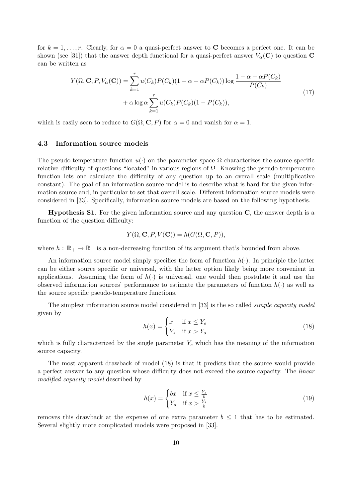for  $k = 1, \ldots, r$ . Clearly, for  $\alpha = 0$  a quasi-perfect answer to C becomes a perfect one. It can be shown (see [31]) that the answer depth functional for a quasi-perfect answer  $V_{\alpha}(\mathbf{C})$  to question C can be written as

$$
Y(\Omega, \mathbf{C}, P, V_{\alpha}(\mathbf{C})) = \sum_{k=1}^{r} u(C_k) P(C_k) (1 - \alpha + \alpha P(C_k)) \log \frac{1 - \alpha + \alpha P(C_k)}{P(C_k)}
$$
  
+  $\alpha \log \alpha \sum_{k=1}^{r} u(C_k) P(C_k) (1 - P(C_k)),$  (17)

which is easily seen to reduce to  $G(\Omega, \mathbf{C}, P)$  for  $\alpha = 0$  and vanish for  $\alpha = 1$ .

### 4.3 Information source models

The pseudo-temperature function  $u(\cdot)$  on the parameter space  $\Omega$  characterizes the source specific relative difficulty of questions "located" in various regions of  $Ω$ . Knowing the pseudo-temperature function lets one calculate the difficulty of any question up to an overall scale (multiplicative constant). The goal of an information source model is to describe what is hard for the given information source and, in particular to set that overall scale. Different information source models were considered in [33]. Specifically, information source models are based on the following hypothesis.

Hypothesis S1. For the given information source and any question C, the answer depth is a function of the question difficulty:

$$
Y(\Omega, \mathbf{C}, P, V(\mathbf{C})) = h(G(\Omega, \mathbf{C}, P)),
$$

where  $h : \mathbb{R}_+ \to \mathbb{R}_+$  is a non-decreasing function of its argument that's bounded from above.

An information source model simply specifies the form of function  $h(\cdot)$ . In principle the latter can be either source specific or universal, with the latter option likely being more convenient in applications. Assuming the form of  $h(\cdot)$  is universal, one would then postulate it and use the observed information sources' performance to estimate the parameters of function  $h(\cdot)$  as well as the source specific pseudo-temperature functions.

The simplest information source model considered in [33] is the so called simple capacity model given by

$$
h(x) = \begin{cases} x & \text{if } x \le Y_s \\ Y_s & \text{if } x > Y_s. \end{cases}
$$
 (18)

which is fully characterized by the single parameter  $Y_s$  which has the meaning of the information source capacity.

The most apparent drawback of model (18) is that it predicts that the source would provide a perfect answer to any question whose difficulty does not exceed the source capacity. The linear modified capacity model described by

$$
h(x) = \begin{cases} bx & \text{if } x \le \frac{Y_s}{b} \\ Y_s & \text{if } x > \frac{Y_s}{b} \end{cases}
$$
 (19)

removes this drawback at the expense of one extra parameter  $b \leq 1$  that has to be estimated. Several slightly more complicated models were proposed in [33].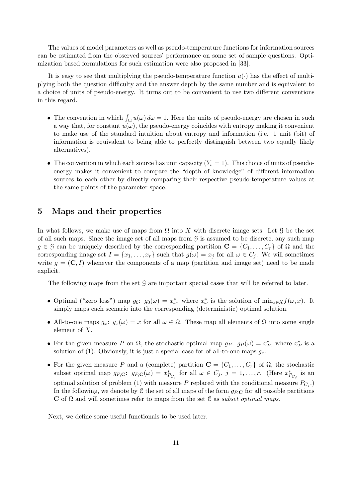The values of model parameters as well as pseudo-temperature functions for information sources can be estimated from the observed sources' performance on some set of sample questions. Optimization based formulations for such estimation were also proposed in [33].

It is easy to see that multiplying the pseudo-temperature function  $u(\cdot)$  has the effect of multiplying both the question difficulty and the answer depth by the same number and is equivalent to a choice of units of pseudo-energy. It turns out to be convenient to use two different conventions in this regard.

- The convention in which  $\int_{\Omega} u(\omega) d\omega = 1$ . Here the units of pseudo-energy are chosen in such a way that, for constant  $u(\omega)$ , the pseudo-energy coincides with entropy making it convenient to make use of the standard intuition about entropy and information (i.e. 1 unit (bit) of information is equivalent to being able to perfectly distinguish between two equally likely alternatives).
- The convention in which each source has unit capacity  $(Y_s = 1)$ . This choice of units of pseudoenergy makes it convenient to compare the "depth of knowledge" of different information sources to each other by directly comparing their respective pseudo-temperature values at the same points of the parameter space.

## 5 Maps and their properties

In what follows, we make use of maps from  $\Omega$  into X with discrete image sets. Let G be the set of all such maps. Since the image set of all maps from G is assumed to be discrete, any such map  $g \in \mathcal{G}$  can be uniquely described by the corresponding partition  $\mathbf{C} = \{C_1, \ldots, C_r\}$  of  $\Omega$  and the corresponding image set  $I = \{x_1, \ldots, x_r\}$  such that  $g(\omega) = x_j$  for all  $\omega \in C_j$ . We will sometimes write  $g = (\mathbf{C}, I)$  whenever the components of a map (partition and image set) need to be made explicit.

The following maps from the set G are important special cases that will be referred to later.

- Optimal ("zero loss") map  $g_0: g_0(\omega) = x^*_{\omega}$ , where  $x^*_{\omega}$  is the solution of  $\min_{x \in X} f(\omega, x)$ . It simply maps each scenario into the corresponding (deterministic) optimal solution.
- All-to-one maps  $g_x: g_x(\omega) = x$  for all  $\omega \in \Omega$ . These map all elements of  $\Omega$  into some single element of X.
- For the given measure P on  $\Omega$ , the stochastic optimal map  $g_P: g_P(\omega) = x_P^*$ , where  $x_P^*$  is a solution of (1). Obviously, it is just a special case for of all-to-one maps  $g_x$ .
- For the given measure P and a (complete) partition  $\mathbf{C} = \{C_1, \ldots, C_r\}$  of  $\Omega$ , the stochastic subset optimal map  $g_{P,\mathbf{C}}$ :  $g_{P,\mathbf{C}}(\omega) = x^*_{P_{C_j}}$  for all  $\omega \in C_j$ ,  $j = 1, \ldots, r$ . (Here  $x^*_{P_{C_j}}$  is an optimal solution of problem (1) with measure P replaced with the conditional measure  $P_{C_j}$ . In the following, we denote by  $C$  the set of all maps of the form  $g_{P,C}$  for all possible partitions C of  $\Omega$  and will sometimes refer to maps from the set C as *subset optimal maps*.

Next, we define some useful functionals to be used later.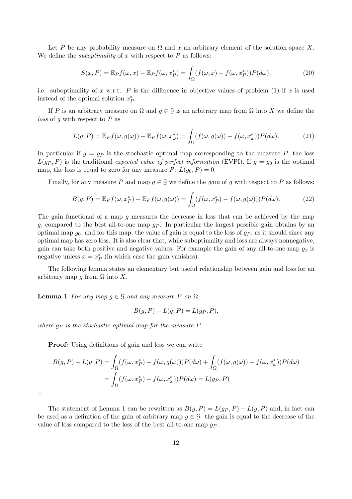Let P be any probability measure on  $\Omega$  and x an arbitrary element of the solution space X. We define the *suboptimality* of x with respect to  $P$  as follows:

$$
S(x, P) = \mathbb{E}_P f(\omega, x) - \mathbb{E}_P f(\omega, x_P^*) = \int_{\Omega} (f(\omega, x) - f(\omega, x_P^*)) P(d\omega), \tag{20}
$$

i.e. suboptimality of x w.r.t. P is the difference in objective values of problem (1) if x is used instead of the optimal solution  $x_P^*$ .

If P is an arbitrary measure on  $\Omega$  and  $q \in \mathcal{G}$  is an arbitrary map from  $\Omega$  into X we define the *loss* of g with respect to  $P$  as

$$
L(g, P) = \mathbb{E}_P f(\omega, g(\omega)) - \mathbb{E}_P f(\omega, x_{\omega}^*) = \int_{\Omega} (f(\omega, g(\omega)) - f(\omega, x_{\omega}^*)) P(d\omega).
$$
 (21)

In particular if  $g = gp$  is the stochastic optimal map corresponding to the measure P, the loss  $L(g_P, P)$  is the traditional expected value of perfect information (EVPI). If  $g = g_0$  is the optimal map, the loss is equal to zero for any measure  $P: L(g_0, P) = 0$ .

Finally, for any measure P and map  $q \in \mathcal{G}$  we define the *gain* of q with respect to P as follows:

$$
B(g, P) = \mathbb{E}_P f(\omega, x_P^*) - \mathbb{E}_P f(\omega, g(\omega)) = \int_{\Omega} (f(\omega, x_P^*) - f(\omega, g(\omega))) P(d\omega).
$$
 (22)

The gain functional of a map  $g$  measures the decrease in loss that can be achieved by the map g, compared to the best all-to-one map  $g_P$ . In particular the largest possible gain obtains by an optimal map  $g_0$ , and for this map, the value of gain is equal to the loss of  $g_P$ , as it should since any optimal map has zero loss. It is also clear that, while suboptimality and loss are always nonnegative, gain can take both positive and negative values. For example the gain of any all-to-one map  $g_x$  is negative unless  $x = x_P^*$  (in which case the gain vanishes).

The following lemma states an elementary but useful relationship between gain and loss for an arbitrary map g from  $\Omega$  into X.

**Lemma 1** For any map  $g \in \mathcal{G}$  and any measure P on  $\Omega$ ,

$$
B(g, P) + L(g, P) = L(g_P, P),
$$

where  $q_P$  is the stochastic optimal map for the measure  $P$ .

**Proof:** Using definitions of gain and loss we can write

$$
B(g, P) + L(g, P) = \int_{\Omega} (f(\omega, x_P^*) - f(\omega, g(\omega))) P(d\omega) + \int_{\Omega} (f(\omega, g(\omega)) - f(\omega, x_{\omega}^*)) P(d\omega)
$$
  
= 
$$
\int_{\Omega} (f(\omega, x_P^*) - f(\omega, x_{\omega}^*)) P(d\omega) = L(g_P, P)
$$

 $\Box$ 

The statement of Lemma 1 can be rewritten as  $B(g, P) = L(g_P, P) - L(g, P)$  and, in fact can be used as a definition of the gain of arbitrary map  $g \in \mathcal{G}$ : the gain is equal to the decrease of the value of loss compared to the loss of the best all-to-one map  $q_P$ .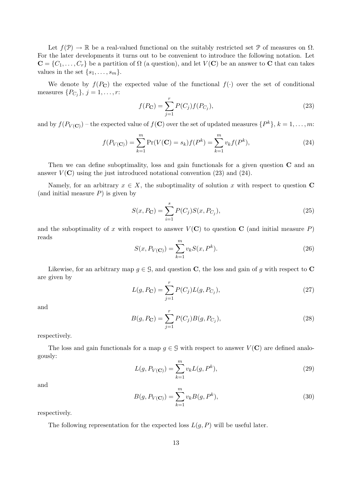Let  $f(\mathcal{P}) \to \mathbb{R}$  be a real-valued functional on the suitably restricted set  $\mathcal{P}$  of measures on  $\Omega$ . For the later developments it turns out to be convenient to introduce the following notation. Let  $\mathbf{C} = \{C_1, \ldots, C_r\}$  be a partition of  $\Omega$  (a question), and let  $V(\mathbf{C})$  be an answer to C that can takes values in the set  $\{s_1, \ldots, s_m\}.$ 

We denote by  $f(P_{\mathbf{C}})$  the expected value of the functional  $f(\cdot)$  over the set of conditional measures  $\{P_{C_j}\}, j = 1, \ldots, r$ :

$$
f(P_{\mathbf{C}}) = \sum_{j=1}^{r} P(C_j) f(P_{C_j}),
$$
\n(23)

and by  $f(P_{V(\mathbf{C})})$  – the expected value of  $f(\mathbf{C})$  over the set of updated measures  $\{P^k\}, k = 1, \ldots, m$ :

$$
f(P_{V(C)}) = \sum_{k=1}^{m} \Pr(V(C) = s_k) f(P^k) = \sum_{k=1}^{m} v_k f(P^k),
$$
\n(24)

Then we can define suboptimality, loss and gain functionals for a given question  $C$  and an answer  $V(\mathbf{C})$  using the just introduced notational convention (23) and (24).

Namely, for an arbitrary  $x \in X$ , the suboptimality of solution x with respect to question C (and initial measure  $P$ ) is given by

$$
S(x, P_{\mathbf{C}}) = \sum_{i=1}^{s} P(C_j) S(x, P_{C_j}),
$$
\n(25)

and the suboptimality of x with respect to answer  $V(\mathbf{C})$  to question  $\mathbf{C}$  (and initial measure P) reads

$$
S(x, P_{V(C)}) = \sum_{k=1}^{m} v_k S(x, P^k).
$$
 (26)

Likewise, for an arbitrary map  $g \in \mathcal{G}$ , and question **C**, the loss and gain of g with respect to **C** are given by

$$
L(g, P_{\mathbf{C}}) = \sum_{j=1}^{r} P(C_j) L(g, P_{C_j}),
$$
\n(27)

and

$$
B(g, P_{\mathbf{C}}) = \sum_{j=1}^{r} P(C_j) B(g, P_{C_j}),
$$
\n(28)

respectively.

The loss and gain functionals for a map  $g \in \mathcal{G}$  with respect to answer  $V(\mathbf{C})$  are defined analogously:

$$
L(g, P_{V(C)}) = \sum_{k=1}^{m} v_k L(g, P^k),
$$
\n(29)

and

$$
B(g, P_{V(C)}) = \sum_{k=1}^{m} v_k B(g, P^k),
$$
\n(30)

respectively.

The following representation for the expected loss  $L(g, P)$  will be useful later.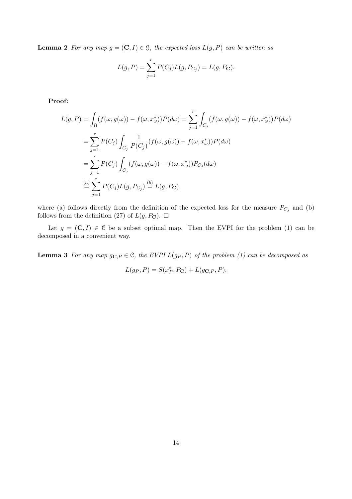**Lemma 2** For any map  $g = (\mathbf{C}, I) \in \mathcal{G}$ , the expected loss  $L(g, P)$  can be written as

$$
L(g, P) = \sum_{j=1}^{r} P(C_j) L(g, P_{C_j}) = L(g, P_{\mathbf{C}}).
$$

Proof:

$$
L(g, P) = \int_{\Omega} (f(\omega, g(\omega)) - f(\omega, x_{\omega}^{*})) P(d\omega) = \sum_{j=1}^{r} \int_{C_{j}} (f(\omega, g(\omega)) - f(\omega, x_{\omega}^{*})) P(d\omega)
$$
  
\n
$$
= \sum_{j=1}^{r} P(C_{j}) \int_{C_{j}} \frac{1}{P(C_{j})} (f(\omega, g(\omega)) - f(\omega, x_{\omega}^{*})) P(d\omega)
$$
  
\n
$$
= \sum_{j=1}^{r} P(C_{j}) \int_{C_{j}} (f(\omega, g(\omega)) - f(\omega, x_{\omega}^{*})) P_{C_{j}}(d\omega)
$$
  
\n
$$
\stackrel{(a)}{=} \sum_{j=1}^{r} P(C_{j}) L(g, P_{C_{j}}) \stackrel{(b)}{=} L(g, P_{\mathbf{C}}),
$$

where (a) follows directly from the definition of the expected loss for the measure  $P_{C_j}$  and (b) follows from the definition (27) of  $L(g, P_{\mathbf{C}})$ .  $\Box$ 

Let  $g = (\mathbf{C}, I) \in \mathcal{C}$  be a subset optimal map. Then the EVPI for the problem (1) can be decomposed in a convenient way.

**Lemma 3** For any map  $g_{\mathbf{C},P} \in \mathcal{C}$ , the EVPI  $L(g_P, P)$  of the problem (1) can be decomposed as

$$
L(g_P, P) = S(x_P^*, P_\mathbf{C}) + L(g_{\mathbf{C},P}, P).
$$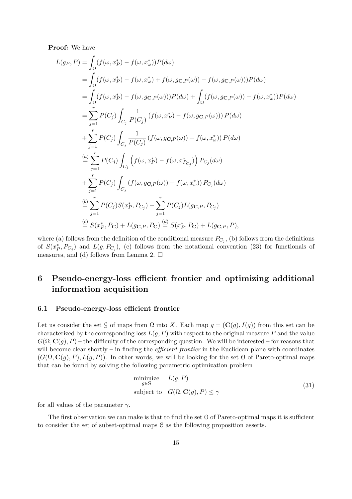Proof: We have

$$
L(g_{P}, P) = \int_{\Omega} (f(\omega, x_{P}^{*}) - f(\omega, x_{\omega}^{*}))P(d\omega)
$$
  
\n
$$
= \int_{\Omega} (f(\omega, x_{P}^{*}) - f(\omega, x_{\omega}^{*}) + f(\omega, g_{C, P}(\omega)) - f(\omega, g_{C, P}(\omega)))P(d\omega)
$$
  
\n
$$
= \int_{\Omega} (f(\omega, x_{P}^{*}) - f(\omega, g_{C, P}(\omega)))P(d\omega) + \int_{\Omega} (f(\omega, g_{C, P}(\omega)) - f(\omega, x_{\omega}^{*}))P(d\omega)
$$
  
\n
$$
= \sum_{j=1}^{r} P(C_{j}) \int_{C_{j}} \frac{1}{P(C_{j})} (f(\omega, x_{P}^{*}) - f(\omega, g_{C, P}(\omega))) P(d\omega)
$$
  
\n
$$
+ \sum_{j=1}^{r} P(C_{j}) \int_{C_{j}} \frac{1}{P(C_{j})} (f(\omega, g_{C, P}(\omega)) - f(\omega, x_{\omega}^{*})) P(d\omega)
$$
  
\n
$$
\stackrel{(a)}{=} \sum_{j=1}^{r} P(C_{j}) \int_{C_{j}} (f(\omega, x_{P}^{*}) - f(\omega, x_{P_{C_{j}}}^{*})) P_{C_{j}}(d\omega)
$$
  
\n
$$
+ \sum_{j=1}^{r} P(C_{j}) \int_{C_{j}} (f(\omega, g_{C, P}(\omega)) - f(\omega, x_{\omega}^{*})) P_{C_{j}}(d\omega)
$$
  
\n
$$
\stackrel{(b)}{=} \sum_{j=1}^{r} P(C_{j}) S(x_{P}^{*}, P_{C_{j}}) + \sum_{j=1}^{r} P(C_{j}) L(g_{C, P}, P_{C_{j}})
$$
  
\n
$$
\stackrel{(c)}{=} S(x_{P}^{*}, P_{C}) + L(g_{C, P}, P_{C}) \stackrel{(d)}{=} S(x_{P}^{*}, P_{C}) + L(g_{C, P}, P),
$$

where (a) follows from the definition of the conditional measure  $P_{C_j}$ , (b) follows from the definitions of  $S(x_P^*, P_{C_j})$  and  $L(g, P_{C_j})$ , (c) follows from the notational convention (23) for functionals of measures, and (d) follows from Lemma 2.  $\Box$ 

# 6 Pseudo-energy-loss efficient frontier and optimizing additional information acquisition

### 6.1 Pseudo-energy-loss efficient frontier

Let us consider the set G of maps from  $\Omega$  into X. Each map  $g = (\mathbf{C}(g), I(g))$  from this set can be characterized by the corresponding loss  $L(g, P)$  with respect to the original measure P and the value  $G(\Omega, \mathbf{C}(q), P)$  – the difficulty of the corresponding question. We will be interested – for reasons that will become clear shortly – in finding the *efficient frontier* in the Euclidean plane with coordinates  $(G(\Omega, \mathbf{C}(q), P), L(q, P))$ . In other words, we will be looking for the set O of Pareto-optimal maps that can be found by solving the following parametric optimization problem

$$
\begin{array}{ll}\text{minimize} & L(g, P) \\ \text{subject to} & G(\Omega, \mathbf{C}(g), P) \le \gamma \end{array} \tag{31}
$$

for all values of the parameter  $\gamma$ .

The first observation we can make is that to find the set  $\mathcal O$  of Pareto-optimal maps it is sufficient to consider the set of subset-optimal maps C as the following proposition asserts.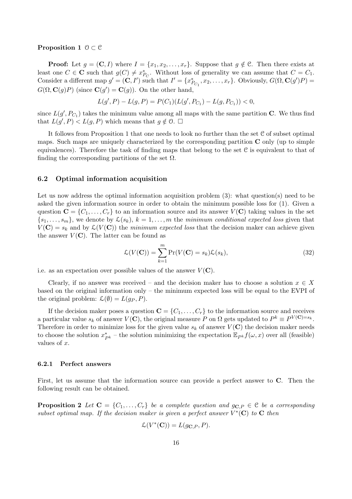#### Proposition 1  $0 \subset \mathcal{C}$

**Proof:** Let  $g = (\mathbf{C}, I)$  where  $I = \{x_1, x_2, \ldots, x_r\}$ . Suppose that  $g \notin \mathcal{C}$ . Then there exists at least one  $C \in \mathbf{C}$  such that  $g(C) \neq x_{P_C}^*$ . Without loss of generality we can assume that  $C = C_1$ . Consider a different map  $g' = (\mathbf{C}, I')$  such that  $I' = \{x^*_{P_{C_1}}, x_2, \ldots, x_r\}$ . Obviously,  $G(\Omega, \mathbf{C}(g')P) =$  $G(\Omega, \mathbf{C}(g)P)$  (since  $\mathbf{C}(g') = \mathbf{C}(g)$ ). On the other hand,

$$
L(g', P) - L(g, P) = P(C_1)(L(g', P_{C_1}) - L(g, P_{C_1})) < 0,
$$

since  $L(g', P_{C_1})$  takes the minimum value among all maps with the same partition C. We thus find that  $L(g', P) < L(g, P)$  which means that  $g \notin \mathcal{O}$ .  $\Box$ 

It follows from Proposition 1 that one needs to look no further than the set  $C$  of subset optimal maps. Such maps are uniquely characterized by the corresponding partition  $C$  only (up to simple equivalences). Therefore the task of finding maps that belong to the set C is equivalent to that of finding the corresponding partitions of the set  $\Omega$ .

### 6.2 Optimal information acquisition

Let us now address the optimal information acquisition problem (3): what question(s) need to be asked the given information source in order to obtain the minimum possible loss for (1). Given a question  $\mathbf{C} = \{C_1, \ldots, C_r\}$  to an information source and its answer  $V(\mathbf{C})$  taking values in the set  $\{s_1, \ldots, s_m\}$ , we denote by  $\mathcal{L}(s_k)$ ,  $k = 1, \ldots, m$  the minimum conditional expected loss given that  $V(\mathbf{C}) = s_k$  and by  $\mathcal{L}(V(\mathbf{C}))$  the minimum expected loss that the decision maker can achieve given the answer  $V(\mathbf{C})$ . The latter can be found as

$$
\mathcal{L}(V(\mathbf{C})) = \sum_{k=1}^{m} \Pr(V(\mathbf{C}) = s_k) \mathcal{L}(s_k),
$$
\n(32)

i.e. as an expectation over possible values of the answer  $V(\mathbf{C})$ .

Clearly, if no answer was received – and the decision maker has to choose a solution  $x \in X$ based on the original information only – the minimum expected loss will be equal to the EVPI of the original problem:  $\mathcal{L}(\emptyset) = L(q_P, P)$ .

If the decision maker poses a question  $\mathbf{C} = \{C_1, \ldots, C_r\}$  to the information source and receives a particular value  $s_k$  of answer  $V(\mathbf{C})$ , the original measure P on  $\Omega$  gets updated to  $P^k \equiv P^{V(\mathbf{C})=s_k}$ . Therefore in order to minimize loss for the given value  $s_k$  of answer  $V(\mathbf{C})$  the decision maker needs to choose the solution  $x_{P^k}^*$  – the solution minimizing the expectation  $\mathbb{E}_{P^k} f(\omega, x)$  over all (feasible) values of x.

#### 6.2.1 Perfect answers

First, let us assume that the information source can provide a perfect answer to C. Then the following result can be obtained.

**Proposition 2** Let  $C = \{C_1, \ldots, C_r\}$  be a complete question and  $g_{C,P} \in \mathcal{C}$  be a corresponding subset optimal map. If the decision maker is given a perfect answer  $V^*(\mathbf{C})$  to  $\mathbf{C}$  then

$$
\mathcal{L}(V^*(\mathbf{C})) = L(g_{\mathbf{C},P}, P).
$$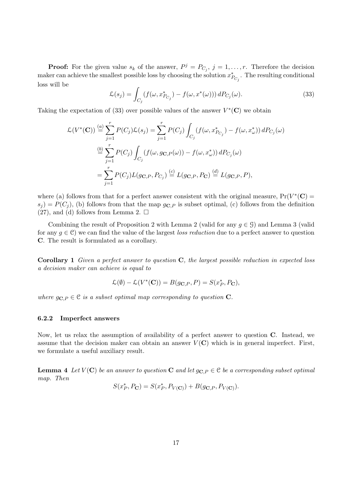**Proof:** For the given value  $s_k$  of the answer,  $P^j = P_{C_j}$ ,  $j = 1, \ldots, r$ . Therefore the decision maker can achieve the smallest possible loss by choosing the solution  $x^*_{P_{C_j}}$ . The resulting conditional loss will be

$$
\mathcal{L}(s_j) = \int_{C_j} (f(\omega, x_{P_{C_j}}^*) - f(\omega, x^*(\omega))) \, dP_{C_j}(\omega). \tag{33}
$$

Taking the expectation of (33) over possible values of the answer  $V^*(\mathbf{C})$  we obtain

$$
\mathcal{L}(V^*(\mathbf{C})) \stackrel{(a)}{=} \sum_{j=1}^r P(C_j) \mathcal{L}(s_j) = \sum_{j=1}^r P(C_j) \int_{C_j} (f(\omega, x_{P_{C_j}}^*) - f(\omega, x_{\omega}^*)) dP_{C_j}(\omega)
$$
  

$$
\stackrel{(b)}{=} \sum_{j=1}^r P(C_j) \int_{C_j} (f(\omega, g_{\mathbf{C}, P}(\omega)) - f(\omega, x_{\omega}^*)) dP_{C_j}(\omega)
$$
  

$$
= \sum_{j=1}^r P(C_j) L(g_{\mathbf{C}, P}, P_{C_j}) \stackrel{(c)}{=} L(g_{\mathbf{C}, P}, P_{\mathbf{C}}) \stackrel{(d)}{=} L(g_{\mathbf{C}, P}, P),
$$

where (a) follows from that for a perfect answer consistent with the original measure,  $Pr(V^*(\mathbf{C}))$  $s_j = P(C_j)$ , (b) follows from that the map  $g_{\mathbf{C},P}$  is subset optimal, (c) follows from the definition  $(27)$ , and  $(d)$  follows from Lemma 2.  $\square$ 

Combining the result of Proposition 2 with Lemma 2 (valid for any  $q \in \mathcal{G}$ ) and Lemma 3 (valid for any  $g \in \mathcal{C}$ ) we can find the value of the largest loss reduction due to a perfect answer to question C. The result is formulated as a corollary.

**Corollary 1** Given a perfect answer to question  $C$ , the largest possible reduction in expected loss a decision maker can achieve is equal to

$$
\mathcal{L}(\emptyset) - \mathcal{L}(V^*(\mathbf{C})) = B(g_{\mathbf{C},P}, P) = S(x_P^*, P_{\mathbf{C}}),
$$

where  $g_{\mathbf{C},P} \in \mathcal{C}$  is a subset optimal map corresponding to question  $\mathbf{C}$ .

### 6.2.2 Imperfect answers

Now, let us relax the assumption of availability of a perfect answer to question C. Instead, we assume that the decision maker can obtain an answer  $V(\mathbf{C})$  which is in general imperfect. First, we formulate a useful auxiliary result.

**Lemma 4** Let  $V(\mathbf{C})$  be an answer to question  $\mathbf{C}$  and let  $g_{\mathbf{C},P} \in \mathcal{C}$  be a corresponding subset optimal map. Then

$$
S(x_P^*, P_{\mathbf{C}}) = S(x_P^*, P_{V(\mathbf{C})}) + B(g_{\mathbf{C},P}, P_{V(\mathbf{C})}).
$$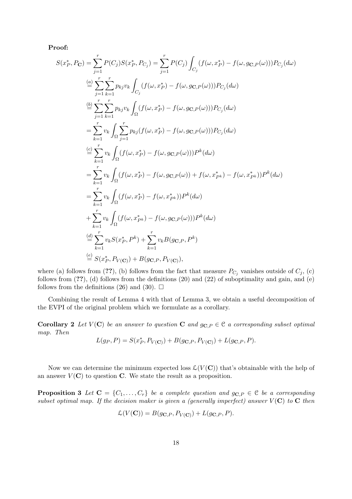Proof:

$$
S(x_P^*, P_C) = \sum_{j=1}^r P(C_j) S(x_P^*, P_{C_j}) = \sum_{j=1}^r P(C_j) \int_{C_j} (f(\omega, x_P^*) - f(\omega, g_{C,P}(\omega))) P_{C_j}(d\omega)
$$
  
\n
$$
\stackrel{(a)}{=} \sum_{j=1}^r \sum_{k=1}^r p_{kj} v_k \int_{C_j} (f(\omega, x_P^*) - f(\omega, g_{C,P}(\omega))) P_{C_j}(d\omega)
$$
  
\n
$$
\stackrel{(b)}{=} \sum_{j=1}^r \sum_{k=1}^r p_{kj} v_k \int_{\Omega} (f(\omega, x_P^*) - f(\omega, g_{C,P}(\omega))) P_{C_j}(d\omega)
$$
  
\n
$$
= \sum_{k=1}^r v_k \int_{\Omega} \sum_{j=1}^r p_{kj} (f(\omega, x_P^*) - f(\omega, g_{C,P}(\omega))) P_{C_j}(d\omega)
$$
  
\n
$$
\stackrel{(c)}{=} \sum_{k=1}^r v_k \int_{\Omega} (f(\omega, x_P^*) - f(\omega, g_{C,P}(\omega))) P^k(d\omega)
$$
  
\n
$$
= \sum_{k=1}^r v_k \int_{\Omega} (f(\omega, x_P^*) - f(\omega, g_{C,P}(\omega)) + f(\omega, x_{P^k}) - f(\omega, x_{P^k})) P^k(d\omega)
$$
  
\n
$$
= \sum_{k=1}^r v_k \int_{\Omega} (f(\omega, x_P^*) - f(\omega, g_{C,P}(\omega))) P^k(d\omega)
$$
  
\n
$$
+ \sum_{k=1}^r v_k \int_{\Omega} (f(\omega, x_{P^k}^*) - f(\omega, g_{C,P}(\omega))) P^k(d\omega)
$$
  
\n
$$
\stackrel{(d)}{=} \sum_{k=1}^r v_k S(x_P^*, P^k) + \sum_{k=1}^r v_k B(g_{C,P}, P^k)
$$
  
\n
$$
\stackrel{(e)}{=} S(x_P^*, P_{V(C)}) + B(g_{C,P}, P_{V(C)}),
$$

where (a) follows from (??), (b) follows from the fact that measure  $P_{C_j}$  vanishes outside of  $C_j$ , (c) follows from (??), (d) follows from the definitions (20) and (22) of suboptimality and gain, and (e) follows from the definitions (26) and (30).  $\Box$ 

Combining the result of Lemma 4 with that of Lemma 3, we obtain a useful decomposition of the EVPI of the original problem which we formulate as a corollary.

**Corollary 2** Let  $V(\mathbf{C})$  be an answer to question **C** and  $g_{\mathbf{C},P} \in \mathcal{C}$  a corresponding subset optimal map. Then

$$
L(g_P, P) = S(x_P^*, P_{V(\mathbf{C})}) + B(g_{\mathbf{C},P}, P_{V(\mathbf{C})}) + L(g_{\mathbf{C},P}, P).
$$

Now we can determine the minimum expected loss  $\mathcal{L}(V(\mathbf{C}))$  that's obtainable with the help of an answer  $V(\mathbf{C})$  to question C. We state the result as a proposition.

**Proposition 3** Let  $C = \{C_1, \ldots, C_r\}$  be a complete question and  $g_{C,P} \in \mathcal{C}$  be a corresponding subset optimal map. If the decision maker is given a (generally imperfect) answer  $V(\mathbf{C})$  to  $\mathbf{C}$  then

$$
\mathcal{L}(V(\mathbf{C})) = B(g_{\mathbf{C},P}, P_{V(\mathbf{C})}) + L(g_{\mathbf{C},P}, P).
$$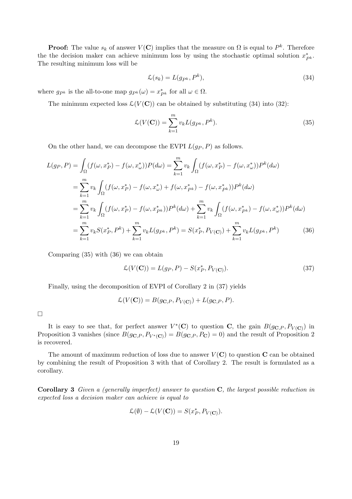**Proof:** The value  $s_k$  of answer  $V(\mathbf{C})$  implies that the measure on  $\Omega$  is equal to  $P^k$ . Therefore the the decision maker can achieve minimum loss by using the stochastic optimal solution  $x_{P^k}^*$ . The resulting minimum loss will be

$$
\mathcal{L}(s_k) = L(g_{P^k}, P^k),\tag{34}
$$

where  $g_{P^k}$  is the all-to-one map  $g_{P^k}(\omega) = x_{P^k}^*$  for all  $\omega \in \Omega$ .

The minimum expected loss  $\mathcal{L}(V(\mathbf{C}))$  can be obtained by substituting (34) into (32):

$$
\mathcal{L}(V(\mathbf{C})) = \sum_{k=1}^{m} v_k L(g_{P^k}, P^k).
$$
\n(35)

On the other hand, we can decompose the EVPI  $L(g_P, P)$  as follows.

$$
L(g_P, P) = \int_{\Omega} (f(\omega, x_P^*) - f(\omega, x_\omega^*)) P(d\omega) = \sum_{k=1}^m v_k \int_{\Omega} (f(\omega, x_P^*) - f(\omega, x_\omega^*)) P^k(d\omega)
$$
  
\n
$$
= \sum_{k=1}^m v_k \int_{\Omega} (f(\omega, x_P^*) - f(\omega, x_\omega^*) + f(\omega, x_{P^k}^*) - f(\omega, x_{P^k}^*)) P^k(d\omega)
$$
  
\n
$$
= \sum_{k=1}^m v_k \int_{\Omega} (f(\omega, x_P^*) - f(\omega, x_{P^k}^*)) P^k(d\omega) + \sum_{k=1}^m v_k \int_{\Omega} (f(\omega, x_{P^k}^*) - f(\omega, x_\omega^*)) P^k(d\omega)
$$
  
\n
$$
= \sum_{k=1}^m v_k S(x_P^*, P^k) + \sum_{k=1}^m v_k L(g_{P^k}, P^k) = S(x_P^*, P_{V(\mathbf{C})}) + \sum_{k=1}^m v_k L(g_{P^k}, P^k)
$$
(36)

Comparing (35) with (36) we can obtain

$$
\mathcal{L}(V(\mathbf{C})) = L(g_P, P) - S(x_P^*, P_{V(\mathbf{C})}).
$$
\n(37)

Finally, using the decomposition of EVPI of Corollary 2 in (37) yields

$$
\mathcal{L}(V(\mathbf{C})) = B(g_{\mathbf{C},P}, P_{V(\mathbf{C})}) + L(g_{\mathbf{C},P}, P).
$$

¤

It is easy to see that, for perfect answer  $V^*(\mathbf{C})$  to question C, the gain  $B(g_{\mathbf{C},P},P_{V(\mathbf{C})})$  in Proposition 3 vanishes (since  $B(g_{\mathbf{C},P}, P_{V^*(\mathbf{C})}) = B(g_{\mathbf{C},P}, P_{\mathbf{C}}) = 0$ ) and the result of Proposition 2 is recovered.

The amount of maximum reduction of loss due to answer  $V(\mathbf{C})$  to question  $\mathbf{C}$  can be obtained by combining the result of Proposition 3 with that of Corollary 2. The result is formulated as a corollary.

**Corollary 3** Given a (generally imperfect) answer to question  $C$ , the largest possible reduction in expected loss a decision maker can achieve is equal to

$$
\mathcal{L}(\emptyset) - \mathcal{L}(V(\mathbf{C})) = S(x_P^*, P_{V(\mathbf{C})}).
$$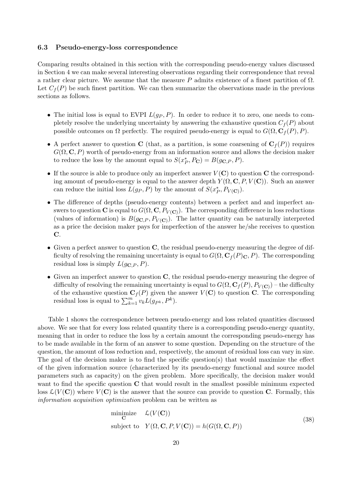### 6.3 Pseudo-energy-loss correspondence

Comparing results obtained in this section with the corresponding pseudo-energy values discussed in Section 4 we can make several interesting observations regarding their correspondence that reveal a rather clear picture. We assume that the measure P admits existence of a finest partition of  $\Omega$ . Let  $C_f(P)$  be such finest partition. We can then summarize the observations made in the previous sections as follows.

- The initial loss is equal to EVPI  $L(g_P, P)$ . In order to reduce it to zero, one needs to completely resolve the underlying uncertainty by answering the exhaustive question  $C_f(P)$  about possible outcomes on  $\Omega$  perfectly. The required pseudo-energy is equal to  $G(\Omega, \mathbf{C}_f(P), P)$ .
- A perfect answer to question C (that, as a partition, is some coarsening of  $C_f(P)$ ) requires  $G(\Omega, \mathbf{C}, P)$  worth of pseudo-energy from an information source and allows the decision maker to reduce the loss by the amount equal to  $S(x_P^*, P_{\mathbf{C}}) = B(g_{\mathbf{C},P}, P)$ .
- If the source is able to produce only an imperfect answer  $V(\mathbf{C})$  to question  $\mathbf{C}$  the corresponding amount of pseudo-energy is equal to the answer depth  $Y(\Omega, \mathbf{C}, P, V(\mathbf{C}))$ . Such an answer can reduce the initial loss  $L(g_P, P)$  by the amount of  $S(x_P^*, P_{V(\mathbf{C})}).$
- The difference of depths (pseudo-energy contents) between a perfect and and imperfect answers to question C is equal to  $G(\Omega,{\bf C},P_{V({\bf C})})$ . The corresponding difference in loss reductions (values of information) is  $B(g_{\mathbf{C},P}, P_{V(\mathbf{C})})$ . The latter quantity can be naturally interpreted as a price the decision maker pays for imperfection of the answer he/she receives to question C.
- Given a perfect answer to question  $\mathbf C$ , the residual pseudo-energy measuring the degree of difficulty of resolving the remaining uncertainty is equal to  $G(\Omega, \mathbf{C}_f(P)_{\mathbf{C}}, P)$ . The corresponding residual loss is simply  $L(q_{\mathbf{C},P}, P)$ .
- Given an imperfect answer to question  $C$ , the residual pseudo-energy measuring the degree of difficulty of resolving the remaining uncertainty is equal to  $G(\Omega, \mathbf{C}_f(P), P_{V(\mathbf{C})})$  – the difficulty of the exhaustive question  $C_f(P)$  given the answer  $V(C)$  to question C. The corresponding or the exhaustive question  $C_f(r)$  given the residual loss is equal to  $\sum_{k=1}^m v_k L(g_{P^k}, P^k)$ .

Table 1 shows the correspondence between pseudo-energy and loss related quantities discussed above. We see that for every loss related quantity there is a corresponding pseudo-energy quantity, meaning that in order to reduce the loss by a certain amount the corresponding pseudo-energy has to be made available in the form of an answer to some question. Depending on the structure of the question, the amount of loss reduction and, respectively, the amount of residual loss can vary in size. The goal of the decision maker is to find the specific question(s) that would maximize the effect of the given information source (characterized by its pseudo-energy functional and source model parameters such as capacity) on the given problem. More specifically, the decision maker would want to find the specific question  $C$  that would result in the smallest possible minimum expected loss  $\mathcal{L}(V(\mathbf{C}))$  where  $V(\mathbf{C})$  is the answer that the source can provide to question C. Formally, this information acquisition optimization problem can be written as

minimize 
$$
\mathcal{L}(V(\mathbf{C}))
$$
  
subject to  $Y(\Omega, \mathbf{C}, P, V(\mathbf{C})) = h(G(\Omega, \mathbf{C}, P))$  (38)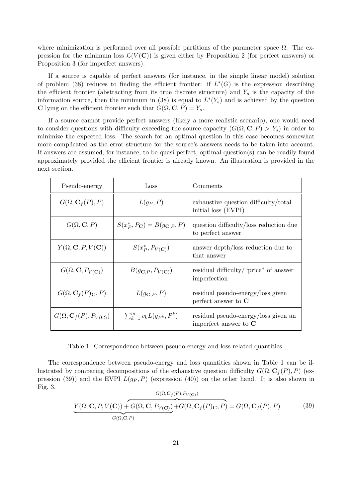where minimization is performed over all possible partitions of the parameter space  $\Omega$ . The expression for the minimum loss  $\mathcal{L}(V(\mathbf{C}))$  is given either by Proposition 2 (for perfect answers) or Proposition 3 (for imperfect answers).

If a source is capable of perfect answers (for instance, in the simple linear model) solution of problem (38) reduces to finding the efficient frontier: if  $L^*(G)$  is the expression describing the efficient frontier (abstracting from its true discrete structure) and  $Y_s$  is the capacity of the information source, then the minimum in (38) is equal to  $L^*(Y_s)$  and is achieved by the question C lying on the efficient frontier such that  $G(\Omega, \mathbf{C}, P) = Y_s$ .

If a source cannot provide perfect answers (likely a more realistic scenario), one would need to consider questions with difficulty exceeding the source capacity  $(G(\Omega, \mathbf{C}, P) > Y_s)$  in order to minimize the expected loss. The search for an optimal question in this case becomes somewhat more complicated as the error structure for the source's answers needs to be taken into account. If answers are assumed, for instance, to be quasi-perfect, optimal question(s) can be readily found approximately provided the efficient frontier is already known. An illustration is provided in the next section.

| Pseudo-energy                                   | Loss                                                | Comments                                                        |
|-------------------------------------------------|-----------------------------------------------------|-----------------------------------------------------------------|
| $G(\Omega, \mathbf{C}_f(P), P)$                 | $L(g_P, P)$                                         | exhaustive question difficulty/total<br>initial loss (EVPI)     |
| $G(\Omega, {\bf C}, P)$                         | $S(x_P^*, P_{\mathbf{C}}) = B(g_{\mathbf{C},P}, P)$ | question difficulty/loss reduction due<br>to perfect answer     |
| $Y(\Omega, \mathbf{C}, P, V(\mathbf{C}))$       | $S(x_P^*, P_{V(C)})$                                | answer depth/loss reduction due to<br>that answer               |
| $G(\Omega, {\bf C}, P_{V({\bf C})})$            | $B(g_{\mathbf{C},P},P_{V(\mathbf{C})})$             | residual difficulty/"price" of answer<br>imperfection           |
| $G(\Omega, \mathbf{C}_f(P)_{\mathbf{C}}, P)$    | $L(g_{\mathbf{C},P},P)$                             | residual pseudo-energy/loss given<br>perfect answer to $C$      |
| $G(\Omega, \mathbf{C}_f(P), P_{V(\mathbf{C})})$ | $\sum_{k=1}^m v_k L(g_{P^k}, P^k)$                  | residual pseudo-energy/loss given an<br>imperfect answer to $C$ |

Table 1: Correspondence between pseudo-energy and loss related quantities.

The correspondence between pseudo-energy and loss quantities shown in Table 1 can be illustrated by comparing decompositions of the exhaustive question difficulty  $G(\Omega, \mathbf{C}_f(P), P)$  (expression (39)) and the EVPI  $L(g_P, P)$  (expression (40)) on the other hand. It is also shown in Fig. 3.  $G(Q, C, (p), p)$ 

$$
\underbrace{Y(\Omega, \mathbf{C}, P, V(\mathbf{C})) + G(\Omega, \mathbf{C}, P_{V(\mathbf{C})})}_{G(\Omega, \mathbf{C}, P)} + G(\Omega, \mathbf{C}_f(P)\mathbf{C}, P)} = G(\Omega, \mathbf{C}_f(P), P)
$$
(39)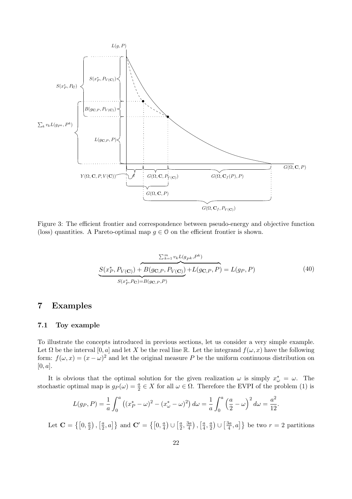

Figure 3: The efficient frontier and correspondence between pseudo-energy and objective function (loss) quantities. A Pareto-optimal map  $g \in \mathcal{O}$  on the efficient frontier is shown.

$$
\frac{\sum_{k=1}^{m} v_k L(g_{Pk}, P^k)}{S(x_P^*, P_{V(\mathbf{C})}) + B(g_{\mathbf{C},P}, P_{V(\mathbf{C})}) + L(g_{\mathbf{C},P}, P)} = L(g_P, P)
$$
(40)

# 7 Examples

### 7.1 Toy example

To illustrate the concepts introduced in previous sections, let us consider a very simple example. Let  $\Omega$  be the interval  $[0, a]$  and let X be the real line R. Let the integrand  $f(\omega, x)$  have the following form:  $f(\omega, x) = (x - \omega)^2$  and let the original measure P be the uniform continuous distribution on  $[0, a]$ .

It is obvious that the optimal solution for the given realization  $\omega$  is simply  $x^*_{\omega} = \omega$ . The stochastic optimal map is  $g_P(\omega) = \frac{a}{2} \in X$  for all  $\omega \in \Omega$ . Therefore the EVPI of the problem (1) is

$$
L(g_P, P) = \frac{1}{a} \int_0^a \left( (x_P^* - \omega)^2 - (x_\omega^* - \omega)^2 \right) d\omega = \frac{1}{a} \int_0^a \left( \frac{a}{2} - \omega \right)^2 d\omega = \frac{a^2}{12}.
$$

Let  $\mathbf{C} = \left\{ \left[0, \frac{a}{2}\right] \right\}$ 2 ¢ ,  $\lceil a \rceil$  $\left\{ \frac{a}{2}, a \right\}$  and  $\mathbf{C}' = \left\{ \left[ 0, \frac{a}{4} \right] \right\}$ 4 ¢ ∪  $\lceil a \rceil$  $\frac{a}{2}, \frac{3a}{4}$ 4 ¢ ,  $\lceil a \rceil$  $\frac{a}{4}$ ,  $\frac{a}{2}$  $\overline{2}$ ¢ ∪  $\sqrt{3}a$  $\left\{ \frac{3a}{4}, a \right\}$  be two  $r = 2$  partitions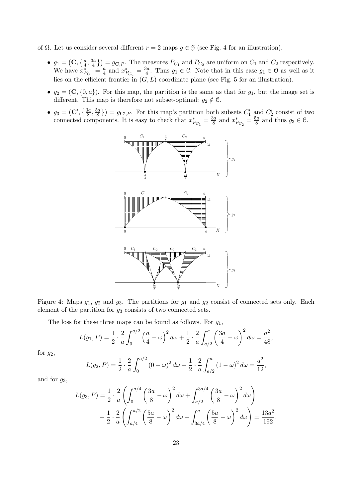of Ω. Let us consider several different  $r = 2$  maps  $g \in \mathcal{G}$  (see Fig. 4 for an illustration).

- $g_1 =$ ¡  $\mathbf{C}, \{ \frac{a}{4} \}$  $\frac{a}{4}, \frac{3a}{4}$  $\{g_{\mathbf{G}}\}\big) = g_{\mathbf{C},P}$ . The measures  $P_{C_1}$  and  $P_{C_2}$  are uniform on  $C_1$  and  $C_2$  respectively. We have  $x_{P_{C_1}}^* = \frac{a}{4}$  $rac{a}{4}$  and  $x_{P_{C_2}}^* = \frac{3a}{4}$  $\frac{3a}{4}$ . Thus  $g_1 \in \mathcal{C}$ . Note that in this case  $g_1 \in \mathcal{O}$  as well as it lies on the efficient frontier in  $(G, L)$  coordinate plane (see Fig. 5 for an illustration).
- $g_2 = (\mathbf{C}, \{0, a\})$ . For this map, the partition is the same as that for  $g_1$ , but the image set is different. This map is therefore not subset-optimal:  $g_2 \notin \mathcal{C}$ .
- $g_3 =$  $(\mathbf{C}', \{\frac{3a}{8}\})$  $\frac{3a}{8}$ ,  $\frac{5a}{8}$  $\left\{ \frac{6a}{8} \right\}$  =  $g_{\mathbf{C}',P}$ . For this map's partition both subsets  $C'_1$  and  $C'_2$  consist of two connected components. It is easy to check that  $x_{P_{C_1}}^* = \frac{3a}{8}$  $\frac{3a}{8}$  and  $x^*_{P_{C_2}} = \frac{5a}{8}$  $\frac{5a}{8}$  and thus  $g_3 \in \mathcal{C}$ .



Figure 4: Maps  $g_1, g_2$  and  $g_3$ . The partitions for  $g_1$  and  $g_2$  consist of connected sets only. Each element of the partition for  $g_3$  consists of two connected sets.

The loss for these three maps can be found as follows. For  $q_1$ ,

$$
L(g_1, P) = \frac{1}{2} \cdot \frac{2}{a} \int_0^{a/2} \left(\frac{a}{4} - \omega\right)^2 d\omega + \frac{1}{2} \cdot \frac{2}{a} \int_{a/2}^a \left(\frac{3a}{4} - \omega\right)^2 d\omega = \frac{a^2}{48},
$$

for  $g_2$ ,

$$
L(g_2, P) = \frac{1}{2} \cdot \frac{2}{a} \int_0^{a/2} (0 - \omega)^2 d\omega + \frac{1}{2} \cdot \frac{2}{a} \int_{a/2}^a (1 - \omega)^2 d\omega = \frac{a^2}{12},
$$

and for  $q_3$ ,

$$
L(g_3, P) = \frac{1}{2} \cdot \frac{2}{a} \left( \int_0^{a/4} \left( \frac{3a}{8} - \omega \right)^2 d\omega + \int_{a/2}^{3a/4} \left( \frac{3a}{8} - \omega \right)^2 d\omega \right) + \frac{1}{2} \cdot \frac{2}{a} \left( \int_{a/4}^{a/2} \left( \frac{5a}{8} - \omega \right)^2 d\omega + \int_{3a/4}^a \left( \frac{5a}{8} - \omega \right)^2 d\omega \right) = \frac{13a^2}{192}.
$$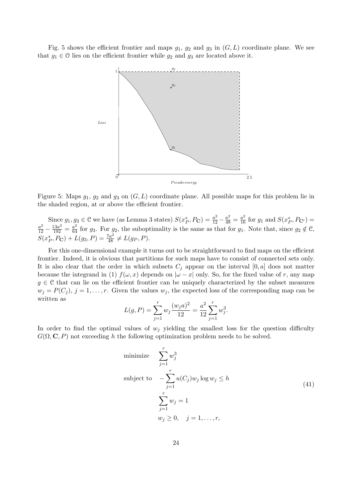Fig. 5 shows the efficient frontier and maps  $g_1, g_2$  and  $g_3$  in  $(G, L)$  coordinate plane. We see that  $g_1 \in \mathcal{O}$  lies on the efficient frontier while  $g_2$  and  $g_3$  are located above it.



Figure 5: Maps  $g_1, g_2$  and  $g_3$  on  $(G, L)$  coordinate plane. All possible maps for this problem lie in the shaded region, at or above the efficient frontier.

Since  $g_1, g_3 \in \mathcal{C}$  we have (as Lemma 3 states)  $S(x_P^*, P_{\mathbf{C}}) = \frac{a^2}{12} - \frac{a^2}{48} = \frac{a^2}{16}$  for  $g_1$  and  $S(x_P^*, P_{\mathbf{C'}}) =$  $\frac{a^2}{12} - \frac{13a^2}{192} = \frac{a^2}{64}$  for  $g_3$ . For  $g_2$ , the suboptimality is the same as that for  $g_1$ . Note that, since  $g_2 \notin \mathcal{C}$ ,  $S(x_P^*, P_C) + L(g_3, P) = \frac{7a^2}{48} \neq L(g_P, P).$ 

For this one-dimensional example it turns out to be straightforward to find maps on the efficient frontier. Indeed, it is obvious that partitions for such maps have to consist of connected sets only. It is also clear that the order in which subsets  $C_i$  appear on the interval  $[0, a]$  does not matter because the integrand in (1)  $f(\omega, x)$  depends on  $|\omega - x|$  only. So, for the fixed value of r, any map  $g \in \mathcal{C}$  that can lie on the efficient frontier can be uniquely characterized by the subset measures  $w_j = P(C_j), j = 1, \ldots, r.$  Given the values  $w_j$ , the expected loss of the corresponding map can be written as

$$
L(g, P) = \sum_{j=1}^{r} w_j \frac{(w_j a)^2}{12} = \frac{a^2}{12} \sum_{j=1}^{r} w_j^3.
$$

In order to find the optimal values of  $w_j$  yielding the smallest loss for the question difficulty  $G(\Omega, \mathbf{C}, P)$  not exceeding h the following optimization problem needs to be solved.

minimize 
$$
\sum_{j=1}^{r} w_j^3
$$
  
subject to 
$$
-\sum_{j=1}^{r} u(C_j)w_j \log w_j \le h
$$

$$
\sum_{j=1}^{r} w_j = 1
$$

$$
w_j \ge 0, \quad j = 1, ..., r,
$$
 (41)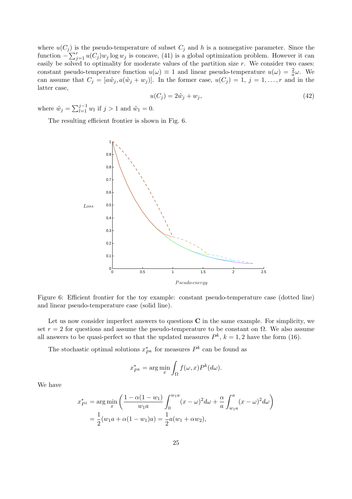where  $u(C_j)$  is the pseudo-temperature of subset  $C_j$  and h is a nonnegative parameter. Since the function  $\sum_{i=1}^{r} u(C_i)$  is a sensor  $(41)$  is a global ortinization problem. However, it can function  $-\sum_{j=1}^r u(C_j)w_j \log w_j$  is concave, (41) is a global optimization problem. However it can easily be solved to optimality for moderate values of the partition size  $r$ . We consider two cases: constant pseudo-temperature function  $u(\omega) \equiv 1$  and linear pseudo-temperature  $u(\omega) = \frac{2}{a}\omega$ . We can assume that  $C_j = [a\tilde{w}_j, a(\tilde{w}_j + w_j)]$ . In the former case,  $u(C_j) = 1, j = 1, \ldots, r$  and in the latter case,

$$
u(C_j) = 2\tilde{w}_j + w_j,\tag{42}
$$

where  $\tilde{w}_j = \sum_{l=1}^{j-1}$  $\sum_{l=1}^{j-1} w_l$  if  $j > 1$  and  $\tilde{w}_1 = 0$ .

The resulting efficient frontier is shown in Fig. 6.



Figure 6: Efficient frontier for the toy example: constant pseudo-temperature case (dotted line) and linear pseudo-temperature case (solid line).

Let us now consider imperfect answers to questions  $C$  in the same example. For simplicity, we set  $r = 2$  for questions and assume the pseudo-temperature to be constant on  $\Omega$ . We also assume all answers to be quasi-perfect so that the updated measures  $P^k$ ,  $k = 1, 2$  have the form (16).

The stochastic optimal solutions  $x_{P^k}^*$  for measures  $P^k$  can be found as

$$
x_{P^k}^* = \arg\min_x \int_{\Omega} f(\omega, x) P^k(d\omega).
$$

We have

$$
x_{P1}^{*} = \arg\min_{x} \left( \frac{1 - \alpha(1 - w_1)}{w_1 a} \int_0^{w_1 a} (x - \omega)^2 d\omega + \frac{\alpha}{a} \int_{w_1 a}^a (x - \omega)^2 d\omega \right)
$$
  
=  $\frac{1}{2} (w_1 a + \alpha(1 - w_1)a) = \frac{1}{2} a (w_1 + \alpha w_2),$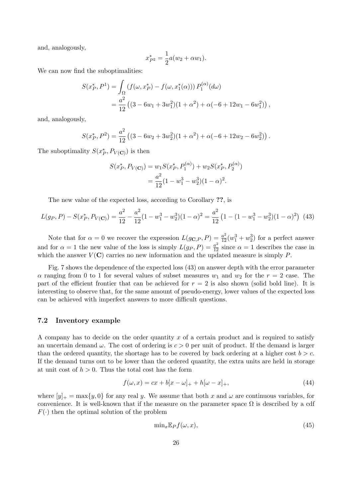and, analogously,

$$
x_{P^2}^* = \frac{1}{2}a(w_2 + \alpha w_1).
$$

We can now find the suboptimalities:

$$
S(x_P^*, P^1) = \int_{\Omega} \left( f(\omega, x_P^*) - f(\omega, x_1^*(\alpha)) \right) P_1^{(\alpha)}(d\omega)
$$
  
= 
$$
\frac{a^2}{12} \left( (3 - 6w_1 + 3w_1^2)(1 + \alpha^2) + \alpha(-6 + 12w_1 - 6w_1^2) \right),
$$

and, analogously,

$$
S(x_P^*, P^2) = \frac{a^2}{12} \left( (3 - 6w_2 + 3w_2^2)(1 + \alpha^2) + \alpha(-6 + 12w_2 - 6w_2^2) \right).
$$

The suboptimality  $S(x_P^*, P_{V(\mathbf{C})})$  is then

$$
S(x_P^*, P_{V(\mathbf{C})}) = w_1 S(x_P^*, P_1^{(\alpha)}) + w_2 S(x_P^*, P_2^{(\alpha)})
$$
  
= 
$$
\frac{a^2}{12} (1 - w_1^3 - w_2^3)(1 - \alpha)^2.
$$

The new value of the expected loss, according to Corollary ??, is

$$
L(g_P, P) - S(x_P^*, P_{V(\mathbf{C})}) = \frac{a^2}{12} - \frac{a^2}{12}(1 - w_1^3 - w_2^3)(1 - \alpha)^2 = \frac{a^2}{12}\left(1 - (1 - w_1^3 - w_2^3)(1 - \alpha)^2\right)
$$
(43)

Note that for  $\alpha = 0$  we recover the expression  $L(g_{\mathbf{C},P}, P) = \frac{a^2}{12}(w_1^3 + w_2^3)$  for a perfect answer and for  $\alpha = 1$  the new value of the loss is simply  $L(g_P, P) = \frac{a^2}{12}$  since  $\alpha = 1$  describes the case in which the answer  $V(\mathbf{C})$  carries no new information and the updated measure is simply P.

Fig. 7 shows the dependence of the expected loss (43) on answer depth with the error parameter  $\alpha$  ranging from 0 to 1 for several values of subset measures  $w_1$  and  $w_2$  for the  $r = 2$  case. The part of the efficient frontier that can be achieved for  $r = 2$  is also shown (solid bold line). It is interesting to observe that, for the same amount of pseudo-energy, lower values of the expected loss can be achieved with imperfect answers to more difficult questions.

### 7.2 Inventory example

A company has to decide on the order quantity  $x$  of a certain product and is required to satisfy an uncertain demand  $\omega$ . The cost of ordering is  $c > 0$  per unit of product. If the demand is larger than the ordered quantity, the shortage has to be covered by back ordering at a higher cost  $b > c$ . If the demand turns out to be lower than the ordered quantity, the extra units are held in storage at unit cost of  $h > 0$ . Thus the total cost has the form

$$
f(\omega, x) = cx + b[x - \omega]_+ + h[\omega - x]_+, \qquad (44)
$$

where  $[y]_+ = \max\{y, 0\}$  for any real y. We assume that both x and  $\omega$  are continuous variables, for convenience. It is well-known that if the measure on the parameter space  $\Omega$  is described by a cdf  $F(\cdot)$  then the optimal solution of the problem

$$
\min_{x} \mathbb{E}_P f(\omega, x),\tag{45}
$$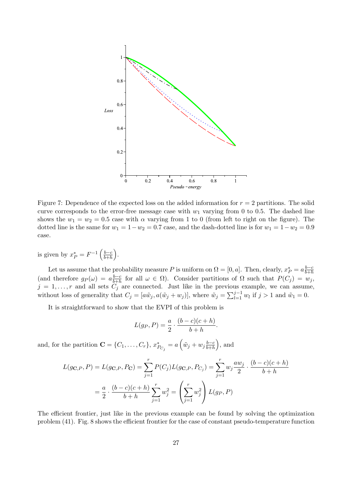

Figure 7: Dependence of the expected loss on the added information for  $r = 2$  partitions. The solid curve corresponds to the error-free message case with  $w_1$  varying from 0 to 0.5. The dashed line shows the  $w_1 = w_2 = 0.5$  case with  $\alpha$  varying from 1 to 0 (from left to right on the figure). The dotted line is the same for  $w_1 = 1 - w_2 = 0.7$  case, and the dash-dotted line is for  $w_1 = 1 - w_2 = 0.9$ case.

is given by  $x_P^* = F^{-1} \left( \frac{b-c}{b+h} \right)$  $_{b+h}$ ´ .

Let us assume that the probability measure P is uniform on  $\Omega = [0, a]$ . Then, clearly,  $x_P^* = a \frac{b-c}{b+h}$  $_{b+h}$ (and therefore  $g_P(\omega) = a \frac{b-c}{b+b}$  $\frac{b-c}{b+h}$  for all  $\omega \in \Omega$ ). Consider partitions of  $\Omega$  such that  $P(C_j) = w_j$ ,  $j = 1, \ldots, r$  and all sets  $C_j$  are connected. Just like in the previous example, we can assume, without loss of generality that  $C_j = [a\tilde{w}_j, a(\tilde{w}_j + w_j)],$  where  $\tilde{w}_j = \sum_{l=1}^{j-1}$  $\prod_{l=1}^{j-1} w_l$  if  $j > 1$  and  $\tilde{w}_1 = 0$ .

It is straightforward to show that the EVPI of this problem is

$$
L(g_P, P) = \frac{a}{2} \cdot \frac{(b-c)(c+h)}{b+h}.
$$

and, for the partition  $\mathbf{C} = \{C_1, \ldots, C_r\}, x_{P_{C_j}}^* = a$  $\overline{a}$  $\tilde{w}_j + w_j \frac{b-c}{b+b}$  $_{b+h}$ ´ , and

$$
L(g_{\mathbf{C},P}, P) = L(g_{\mathbf{C},P}, P_{\mathbf{C}}) = \sum_{j=1}^{r} P(C_j) L(g_{\mathbf{C},P}, P_{C_j}) = \sum_{j=1}^{r} w_j \frac{aw_j}{2} \cdot \frac{(b-c)(c+h)}{b+h}
$$

$$
= \frac{a}{2} \cdot \frac{(b-c)(c+h)}{b+h} \sum_{j=1}^{r} w_j^2 = \left(\sum_{j=1}^{r} w_j^2\right) L(g_P, P)
$$

The efficient frontier, just like in the previous example can be found by solving the optimization problem (41). Fig. 8 shows the efficient frontier for the case of constant pseudo-temperature function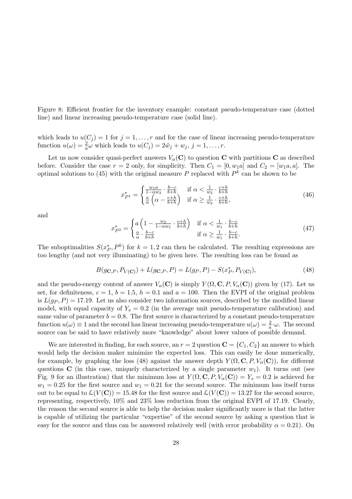Figure 8: Efficient frontier for the inventory example: constant pseudo-temperature case (dotted line) and linear increasing pseudo-temperature case (solid line).

which leads to  $u(C_j) = 1$  for  $j = 1, ..., r$  and for the case of linear increasing pseudo-temperature function  $u(\omega) = \frac{2}{a}\omega$  which leads to  $u(C_j) = 2\tilde{w}_j + w_j$ ,  $j = 1, \ldots, r$ .

Let us now consider quasi-perfect answers  $V_\alpha(\mathbf{C})$  to question C with partitions C as described before. Consider the case  $r = 2$  only, for simplicity. Then  $C_1 = [0, w_1a]$  and  $C_2 = [w_1a, a]$ . The optimal solutions to (45) with the original measure P replaced with  $P^k$  can be shown to be

$$
x_{P1}^* = \begin{cases} \frac{w_1 a}{1 - \alpha w_2} \cdot \frac{b - c}{b + h} & \text{if } \alpha < \frac{1}{w_2} \cdot \frac{c + h}{b + h} \\ \frac{a}{\alpha} \left( \alpha - \frac{c + h}{b + h} \right) & \text{if } \alpha \ge \frac{1}{w_2} \cdot \frac{c + h}{b + h}, \end{cases} \tag{46}
$$

and

$$
x_{P^2}^* = \begin{cases} a \left( 1 - \frac{w_2}{1 - \alpha w_1} \cdot \frac{c + h}{b + h} \right) & \text{if } \alpha < \frac{1}{w_1} \cdot \frac{b - c}{b + h} \\ \frac{a}{\alpha} \cdot \frac{b - c}{b + h} & \text{if } \alpha \ge \frac{1}{w_1} \cdot \frac{b - c}{b + h}. \end{cases} \tag{47}
$$

The suboptimalities  $S(x_P^*, P^k)$  for  $k = 1, 2$  can then be calculated. The resulting expressions are too lengthy (and not very illuminating) to be given here. The resulting loss can be found as

$$
B(g_{\mathbf{C},P}, P_{V(\mathbf{C})}) + L(g_{\mathbf{C},P}, P) = L(g_{P}, P) - S(x_{P}^{*}, P_{V(\mathbf{C})}),
$$
\n(48)

and the pseudo-energy content of answer  $V_{\alpha}(\mathbf{C})$  is simply  $Y(\Omega, \mathbf{C}, P, V_{\alpha}(\mathbf{C}))$  given by (17). Let us set, for definiteness,  $c = 1$ ,  $b = 1.5$ ,  $h = 0.1$  and  $a = 100$ . Then the EVPI of the original problem is  $L(g_P, P) = 17.19$ . Let us also consider two information sources, described by the modified linear model, with equal capacity of  $Y_s = 0.2$  (in the average unit pseudo-temperature calibration) and same value of parameter  $b = 0.8$ . The first source is characterized by a constant pseudo-temperature function  $u(\omega) \equiv 1$  and the second has linear increasing pseudo-temperature  $u(\omega) = \frac{2}{a} \cdot \omega$ . The second source can be said to have relatively more "knowledge" about lower values of possible demand.

We are interested in finding, for each source, an  $r = 2$  question  $\mathbf{C} = \{C_1, C_2\}$  an answer to which would help the decision maker minimize the expected loss. This can easily be done numerically, for example, by graphing the loss (48) against the answer depth  $Y(\Omega, \mathbf{C}, P, V_{\alpha}(\mathbf{C}))$ , for different questions  $C$  (in this case, uniquely characterized by a single parameter  $w_1$ ). It turns out (see Fig. 9 for an illustration) that the minimum loss at  $Y(\Omega, \mathbf{C}, P, V_{\alpha}(\mathbf{C})) = Y_s = 0.2$  is achieved for  $w_1 = 0.25$  for the first source and  $w_1 = 0.21$  for the second source. The minimum loss itself turns out to be equal to  $\mathcal{L}(V(\mathbf{C})) = 15.48$  for the first source and  $\mathcal{L}(V(\mathbf{C})) = 13.27$  for the second source, representing, respectively, 10% and 23% loss reduction from the original EVPI of 17.19. Clearly, the reason the second source is able to help the decision maker significantly more is that the latter is capable of utilizing the particular "expertise" of the second source by asking a question that is easy for the source and thus can be answered relatively well (with error probability  $\alpha = 0.21$ ). On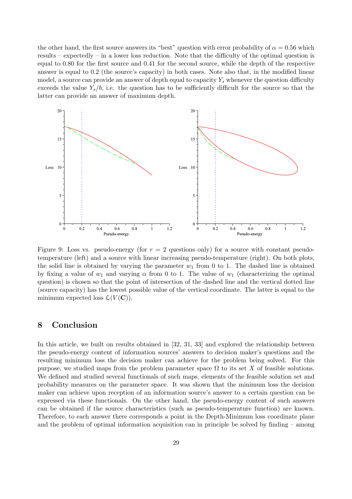the other hand, the first source answers its "best" question with error probability of  $\alpha = 0.56$  which results – expectedly – in a lower loss reduction. Note that the difficulty of the optimal question is equal to 0.80 for the first source and 0.41 for the second source, while the depth of the respective answer is equal to 0.2 (the source's capacity) in both cases. Note also that, in the modified linear model, a source can provide an answer of depth equal to capacity  $Y_s$  whenever the question difficulty exceeds the value  $Y_s/b$ , i.e. the question has to be sufficiently difficult for the source so that the latter can provide an answer of maximum depth.



Figure 9: Loss vs. pseudo-energy (for  $r = 2$  questions only) for a source with constant pseudotemperature (left) and a source with linear increasing pseudo-temperature (right). On both plots, the solid line is obtained by varying the parameter  $w_1$  from 0 to 1. The dashed line is obtained by fixing a value of  $w_1$  and varying  $\alpha$  from 0 to 1. The value of  $w_1$  (characterizing the optimal question) is chosen so that the point of intersection of the dashed line and the vertical dotted line (source capacity) has the lowest possible value of the vertical coordinate. The latter is equal to the minimum expected loss  $\mathcal{L}(V(\mathbf{C}))$ .

### 8 Conclusion

In this article, we built on results obtained in [32, 31, 33] and explored the relationship between the pseudo-energy content of information sources' answers to decision maker's questions and the resulting minimum loss the decision maker can achieve for the problem being solved. For this purpose, we studied maps from the problem parameter space  $\Omega$  to its set X of feasible solutions. We defined and studied several functionals of such maps, elements of the feasible solution set and probability measures on the parameter space. It was shown that the minimum loss the decision maker can achieve upon reception of an information source's answer to a certain question can be expressed via these functionals. On the other hand, the pseudo-energy content of such answers can be obtained if the source characteristics (such as pseudo-temperature function) are known. Therefore, to each answer there corresponds a point in the Depth-Minimum loss coordinate plane and the problem of optimal information acquisition can in principle be solved by finding – among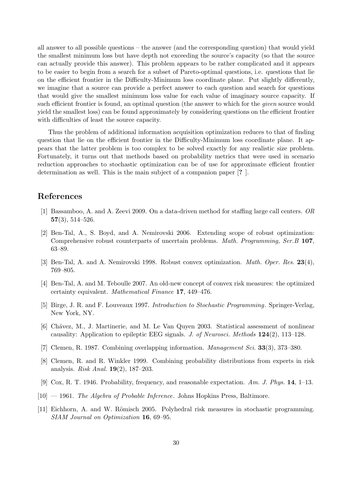all answer to all possible questions – the answer (and the corresponding question) that would yield the smallest minimum loss but have depth not exceeding the source's capacity (so that the source can actually provide this answer). This problem appears to be rather complicated and it appears to be easier to begin from a search for a subset of Pareto-optimal questions, i.e. questions that lie on the efficient frontier in the Difficulty-Minimum loss coordinate plane. Put slightly differently, we imagine that a source can provide a perfect answer to each question and search for questions that would give the smallest minimum loss value for each value of imaginary source capacity. If such efficient frontier is found, an optimal question (the answer to which for the *given* source would yield the smallest loss) can be found approximately by considering questions on the efficient frontier with difficulties of least the source capacity.

Thus the problem of additional information acquisition optimization reduces to that of finding question that lie on the efficient frontier in the Difficulty-Minimum loss coordinate plane. It appears that the latter problem is too complex to be solved exactly for any realistic size problem. Fortunately, it turns out that methods based on probability metrics that were used in scenario reduction approaches to stochastic optimization can be of use for approximate efficient frontier determination as well. This is the main subject of a companion paper [? ].

# References

- [1] Bassamboo, A. and A. Zeevi 2009. On a data-driven method for staffing large call centers. OR  $57(3)$ ,  $514-526$ .
- [2] Ben-Tal, A., S. Boyd, and A. Nemirovski 2006. Extending scope of robust optimization: Comprehensive robust counterparts of uncertain problems. *Math. Programming, Ser.B* 107, 63–89.
- [3] Ben-Tal, A. and A. Nemirovski 1998. Robust convex optimization. *Math. Oper. Res.* 23(4), 769–805.
- [4] Ben-Tal, A. and M. Teboulle 2007. An old-new concept of convex risk measures: the optimized certainty equivalent. Mathematical Finance 17, 449–476.
- [5] Birge, J. R. and F. Louveaux 1997. Introduction to Stochastic Programming. Springer-Verlag, New York, NY.
- [6] Ch´avez, M., J. Martinerie, and M. Le Van Quyen 2003. Statistical assessment of nonlinear causality: Application to epileptic EEG signals. J. of Neurosci. Methods 124(2), 113–128.
- [7] Clemen, R. 1987. Combining overlapping information. *Management Sci.* **33**(3), 373–380.
- [8] Clemen, R. and R. Winkler 1999. Combining probability distributions from experts in risk analysis. Risk Anal. 19(2), 187–203.
- [9] Cox, R. T. 1946. Probability, frequency, and reasonable expectation. Am. J. Phys. 14, 1–13.
- $[10] 1961$ . The Algebra of Probable Inference. Johns Hopkins Press, Baltimore.
- [11] Eichhorn, A. and W. Römisch 2005. Polyhedral risk measures in stochastic programming. SIAM Journal on Optimization 16, 69–95.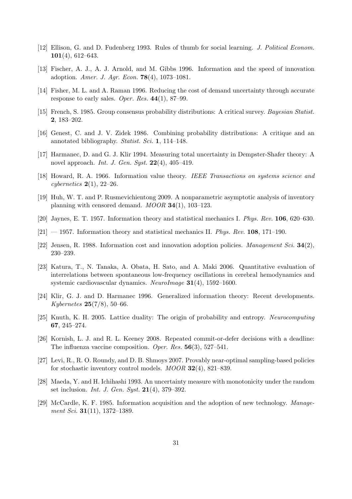- [12] Ellison, G. and D. Fudenberg 1993. Rules of thumb for social learning. J. Political Econom. 101(4), 612–643.
- [13] Fischer, A. J., A. J. Arnold, and M. Gibbs 1996. Information and the speed of innovation adoption. Amer. J. Agr. Econ. 78(4), 1073–1081.
- [14] Fisher, M. L. and A. Raman 1996. Reducing the cost of demand uncertainty through accurate response to early sales. Oper. Res.  $44(1)$ , 87–99.
- [15] French, S. 1985. Group consensus probability distributions: A critical survey. Bayesian Statist. 2, 183–202.
- [16] Genest, C. and J. V. Zidek 1986. Combining probability distributions: A critique and an annotated bibliography. Statist. Sci. 1, 114–148.
- [17] Harmanec, D. and G. J. Klir 1994. Measuring total uncertainty in Dempster-Shafer theory: A novel approach. Int. J. Gen. Syst.  $22(4)$ ,  $405-419$ .
- [18] Howard, R. A. 1966. Information value theory. IEEE Transactions on systems science and cybernetics  $2(1)$ , 22–26.
- [19] Huh, W. T. and P. Rusmevichientong 2009. A nonparametric asymptotic analysis of inventory planning with censored demand. MOOR 34(1), 103–123.
- [20] Jaynes, E. T. 1957. Information theory and statistical mechanics I. Phys. Rev. 106, 620–630.
- $[21]$  1957. Information theory and statistical mechanics II. *Phys. Rev.* 108, 171–190.
- [22] Jensen, R. 1988. Information cost and innovation adoption policies. *Management Sci.*  $34(2)$ , 230–239.
- [23] Katura, T., N. Tanaka, A. Obata, H. Sato, and A. Maki 2006. Quantitative evaluation of interrelations between spontaneous low-frequency oscillations in cerebral hemodynamics and systemic cardiovascular dynamics. NeuroImage 31(4), 1592–1600.
- [24] Klir, G. J. and D. Harmanec 1996. Generalized information theory: Recent developments. Kybernetes 25(7/8), 50–66.
- [25] Knuth, K. H. 2005. Lattice duality: The origin of probability and entropy. Neurocomputing 67, 245–274.
- [26] Kornish, L. J. and R. L. Keeney 2008. Repeated commit-or-defer decisions with a deadline: The influenza vaccine composition. Oper. Res. 56(3), 527–541.
- [27] Levi, R., R. O. Roundy, and D. B. Shmoys 2007. Provably near-optimal sampling-based policies for stochastic inventory control models. MOOR 32(4), 821–839.
- [28] Maeda, Y. and H. Ichihashi 1993. An uncertainty measure with monotonicity under the random set inclusion. *Int. J. Gen. Syst.*  $21(4)$ , 379–392.
- [29] McCardle, K. F. 1985. Information acquisition and the adoption of new technology. Management Sci. **31**(11), 1372-1389.